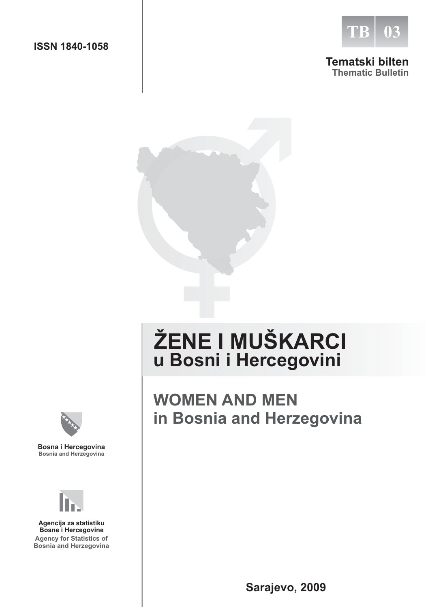

#### **Tematski bilten Thematic Bulletin**



# **ŽENE I MUŠKARCI u Bosni i Hercegovini**

## **WOMEN AND MEN in Bosnia and Herzegovina**



**Bosna i Hercegovina Bosnia and Herzegovina**



**Agency for Statistics of Bosnia and Herzegovina Agencija za statistiku Bosne i Hercegovine**

**Sarajevo, 2009**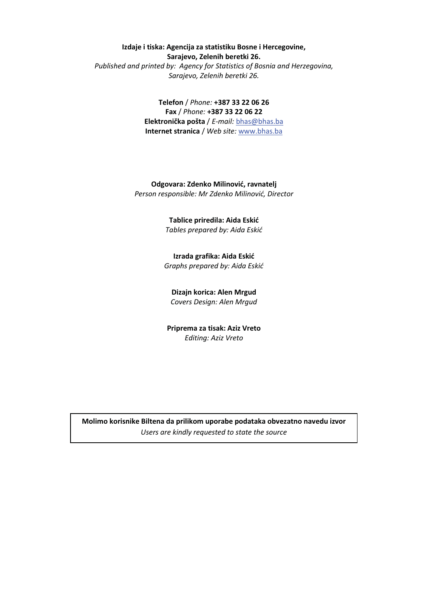#### **Izdaje i tiska: Agencija za statistiku Bosne i Hercegovine, Sarajevo, Zelenih beretki 26.**

*Published and printed by: Agency for Statistics of Bosnia and Herzegovina, Sarajevo, Zelenih beretki 26.* 

> **Telefon** / *Phone:* **+387 33 22 06 26 Fax** / *Phone:* **+387 33 22 06 22 -** / *E-mail:* bhas@bhas.ba **Internet stranica** / *Web site:* www.bhas.ba

Odgovara: Zdenko Milinović, ravnatelj Person responsible: Mr Zdenko Milinović, Director

#### Tablice priredila: Aida Eskić Tables prepared by: Aida Eskić

Izrada grafika: Aida Eskić **Graphs prepared by: Aida Eskić** 

**Dizajn korica: Alen Mrgud**  Covers Design: Alen Mrgud

Priprema za tisak: Aziz Vreto *Editing: Aziz Vreto* 

Molimo korisnike Biltena da prilikom uporabe podataka obvezatno navedu izvor *Users are kindly requested to state the source*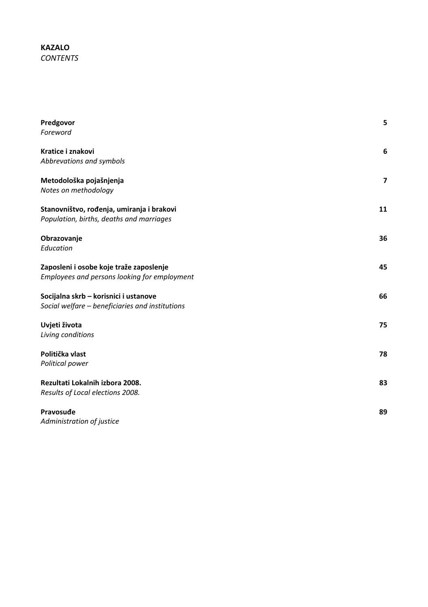#### **KAZALO** *CONTENTS*

| Predgovor                                       | 5                        |
|-------------------------------------------------|--------------------------|
| Foreword                                        |                          |
| Kratice i znakovi                               | 6                        |
| Abbrevations and symbols                        |                          |
| Metodološka pojašnjenja                         | $\overline{\phantom{a}}$ |
| Notes on methodology                            |                          |
| Stanovništvo, rođenja, umiranja i brakovi       | 11                       |
| Population, births, deaths and marriages        |                          |
| Obrazovanje                                     | 36                       |
| Education                                       |                          |
| Zaposleni i osobe koje traže zaposlenje         | 45                       |
| Employees and persons looking for employment    |                          |
| Socijalna skrb - korisnici i ustanove           | 66                       |
| Social welfare - beneficiaries and institutions |                          |
| Uvjeti života                                   | 75                       |
| Living conditions                               |                          |
| Politička vlast                                 | 78                       |
| Political power                                 |                          |
| Rezultati Lokalnih izbora 2008.                 | 83                       |
| Results of Local elections 2008.                |                          |
| Pravosuđe                                       | 89                       |
| Administration of justice                       |                          |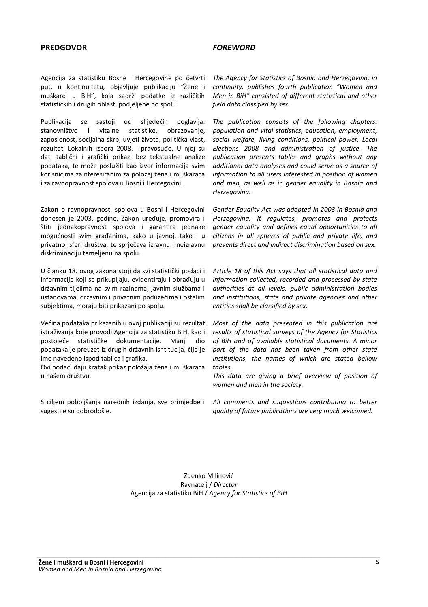#### **PREDGOVOR** *FOREWORD*

Agencija za statistiku Bosne i Hercegovine po četvrti put, u kontinuitetu, objavljuje publikaciju " muškarci u BiH", koja sadrži podatke iz različitih statističkih i drugih oblasti podjeljene po spolu.

Publikacija se sastoji od slijedećih h poglavlja: stanovništvo i vitalne statistike, obrazovanje, zaposlenost, socijalna skrb, uvjeti života, politička vlast, rezultati Lokalnih izbora 2008. i pravosuđe. U njoj su dati tablični i grafički prikazi bez tekstualne analize podataka, te može poslužiti kao izvor informacija svim korisnicima zainteresiranim za položaj žena i muškaraca i za ravnopravnost spolova u Bosni i Hercegovini.

Zakon o ravnopravnosti spolova u Bosni i Hercegovini donesen je 2003. godine. Zakon uređuje, promovira i štiti jednakopravnost spolova i garantira jednake mogućnosti svim građanima, kako u javnoj, tako i u privatnoj sferi društva, te sprječava izravnu i neizravnu diskriminaciju temeljenu na spolu.

U članku 18. ovog zakona stoji da svi statistički podaci i informacije koji se prikupljaju, evidentiraju i obrađuju u državnim tijelima na svim razinama, javnim službama i ustanovama, državnim i privatnim poduzećima i ostalim subjektima, moraju biti prikazani po spolu.

Većina podataka prikazanih u ovoj publikaciji su rezultat istraživanja koje provodi Agencija za statistiku BiH, kao i postojeće statističke dokumentacije. Manji dio podataka je preuzet iz drugih državnih isntitucija, čije je ime navedeno ispod tablica i grafika.

Ovi podaci daju kratak prikaz položaja žena i muškaraca u našem društvu.

S ciljem poboljšanja narednih izdanja, sve primjedbe i sugestije su dobrodošle.

*The Agency for Statistics of Bosnia and Herzegovina, in continuity, publishes fourth publication "Women and Men in BiH" consisted of different statistical and other field data classified by sex.* 

*The publication consists of the following chapters: population and vital statistics, education, employment, social welfare, living conditions, political power, Local Elections 2008 and administration of justice. The publication presents tables and graphs without any additional data analyses and could serve as a source of information to all users interested in position of women and men, as well as in gender equality in Bosnia and Herzegovina.* 

*Gender Equality Act was adopted in 2003 in Bosnia and Herzegovina. It regulates, promotes and protects gender equality and defines equal opportunities to all citizens in all spheres of public and private life, and prevents direct and indirect discrimination based on sex.* 

*Article 18 of this Act says that all statistical data and information collected, recorded and processed by state authorities at all levels, public administration bodies and institutions, state and private agencies and other entities shall be classified by sex.* 

*Most of the data presented in this publication are results of statistical surveys of the Agency for Statistics of BiH and of available statistical documents. A minor part of the data has been taken from other state institutions, the names of which are stated bellow tables.* 

*This data are giving a brief overview of position of women and men in the society.* 

*All comments and suggestions contributing to better quality of future publications are very much welcomed.* 

Zdenko Milinović Ravnatelj / Director Agencija za statistiku BiH / *Agency for Statistics of BiH*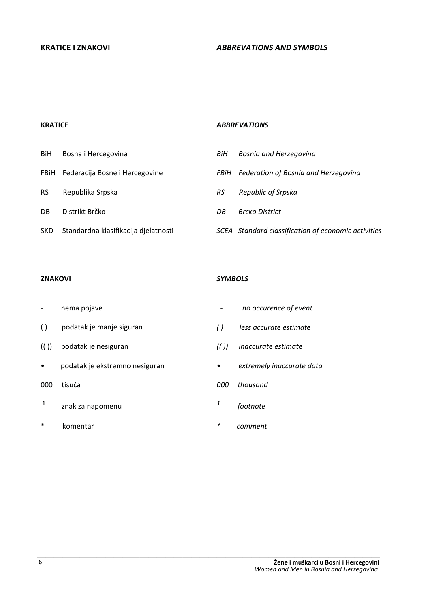#### **KRATICE**

#### *ABBREVATIONS*

| BiH       | Bosna i Hercegovina                  | BiH  | Bosnia and Herzegovina                              |
|-----------|--------------------------------------|------|-----------------------------------------------------|
|           | FBIH Federacija Bosne i Hercegovine  | FBiH | Federation of Bosnia and Herzegovina                |
| <b>RS</b> | Republika Srpska                     | RS   | Republic of Srpska                                  |
| DB        | Distrikt Brčko                       | DB   | Brcko District                                      |
| SKD.      | Standardna klasifikacija djelatnosti |      | SCEA Standard classification of economic activities |

#### **ZNAKOVI**

- nema pojave
- ( ) podatak je manje siguran
- (( )) podatak je nesiguran
- · podatak je ekstremno nesiguran
- 000 tisuća
- $1$  znak za napomenu
- \* komentar

#### *SYMBOLS*

- *no occurence of event*
- *( ) less accurate estimate*
- *(( )) inaccurate estimate*
- $\bullet$  extremely inaccurate data
- *000 thousand*
- *¹ footnote*
- *\* comment*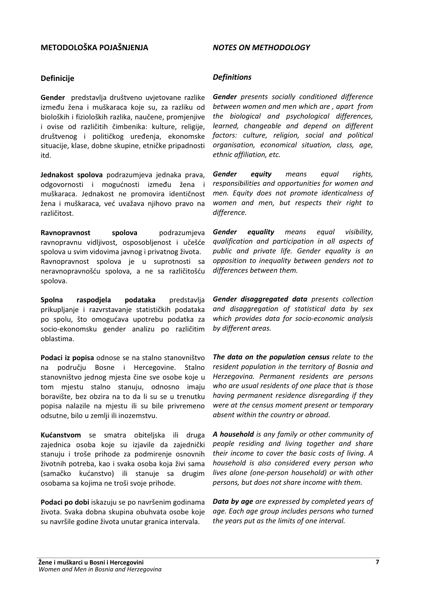#### **METODOLOŠKA POJAŠNJENJA**

#### *NOTES ON METHODOLOGY*

#### **Definicije**

**Gender** predstavlja društveno uvjetovane razlike između žena i muškaraca koje su, za razliku od bioloških i fizioloških razlika, naučene, promjenjive i ovise od različitih čimbenika: kulture, religije, društvenog i političkog uređenja, ekonomske situacije, klase, dobne skupine, etničke pripadnosti itd.

Jednakost spolova podrazumieva jednaka prava. odgovornosti i mogućnosti između žena i muškaraca. Jednakost ne promovira identičnost žena i muškaraca, već uvažava njihovo pravo na različitost.

Ravnopravnost spolova podrazumjeva ravnopravnu vidljivost, osposobljenost i učešće spolova u svim vidovima javnog i privatnog života. Ravnopravnost spolova je u suprotnosti sa neravnopravnošću spolova, a ne sa različitošću spolova.

Spolna raspodjela podataka predstavlja prikupljanje i razvrstavanje statističkih podataka po spolu, što omogućava upotrebu podatka za socio-ekonomsku gender analizu po različitim oblastima.

Podaci iz popisa odnose se na stalno stanovništvo na području Bosne i Hercegovi **Stalno** stanovništvo jednog mjesta čine sve osobe koje u tom mjestu stalno stanuju, odnosno imaju boravište, bez obzira na to da li su se u trenutku popisa nalazile na mjestu ili su bile privremeno odsutne, bilo u zemlji ili inozemstvu.

Kućanstvom se smatra obiteliska ili druga zajednica osoba koje su izjavile da zajednički stanuju i troše prihode za podmirenje osnovnih životnih potreba, kao i svaka osoba koja živi sama (samačko kućanstvo) ili stanuje sa drugim osobama sa kojima ne troši svoje prihode.

Podaci po dobi iskazuju se po navršenim godinama života. Svaka dobna skupina obuhvata osobe koje su navršile godine života unutar granica intervala.

#### *Definitions*

*Gender presents socially conditioned difference between women and men which are , apart from the biological and psychological differences, learned, changeable and depend on different factors: culture, religion, social and political organisation, economical situation, class, age, ethnic affiliation, etc.* 

*Gender equity means equal rights, responsibilities and opportunities for women and men. Equity does not promote identicalness of women and men, but respects their right to difference.* 

*Gender equality means equal visibility, qualification and participation in all aspects of public and private life. Gender equality is an opposition to inequality between genders not to differences between them.* 

*Gender disaggregated data presents collection and disaggregation of statistical data by sex which provides data for socio-economic analysis by different areas.* 

*The data on the population census relate to the resident population in the territory of Bosnia and Herzegovina. Permanent residents are persons who are usual residents of one place that is those having permanent residence disregarding if they were at the census moment present or temporary absent within the country or abroad*.

*A household is any family or other community of people residing and living together and share their income to cover the basic costs of living. A household is also considered every person who lives alone (one-person household) or with other persons, but does not share income with them.* 

*Data by age are expressed by completed years of age. Each age group includes persons who turned the years put as the limits of one interval.*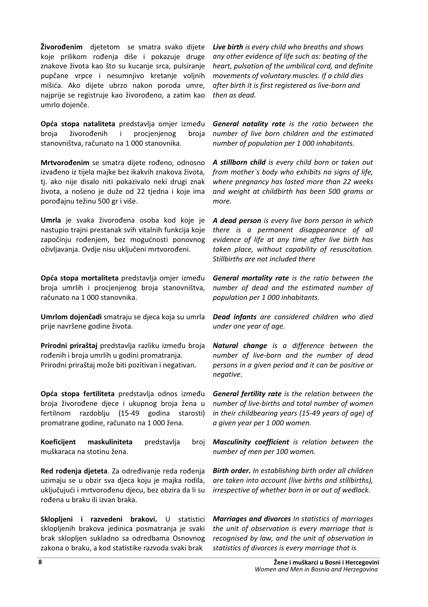**Živorođenim** djetetom se smatra svako dijete koje prilikom rođenja diše i pokazuje druge znakove života kao što su kucanje srca, pulsiranje pupčane vrpce i nesumnjivo kretanje voljnih mišića. Ako dijete ubrzo nakon poroda umre, najprije se registruje kao živorođeno, a zatim kao umrlo dojenče.

Opća stopa nataliteta predstavlja omjer između broja vorođenih i procjenjenog broja stanovništva, računato na 1 000 stanovnika.

Mrtvorođenim se smatra dijete rođeno, odnosno izvađeno iz tijela majke bez ikakvih znakova života, tj. ako nije disalo niti pokazivalo neki drugi znak života, a nošeno je duže od 22 tjedna i koje ima porođajnu težinu 500 gr i više.

Umrla je svaka živorođena osoba kod koje je nastupio trajni prestanak svih vitalnih funkcija koje započinju rođenjem, bez mogućnosti ponovnog oživljavanja. Ovdje nisu uključeni mrtvorođeni.

Opća stopa mortaliteta predstavlja omjer između broja umrlih i procjenjenog broja stanovništva, računato na 1 000 stanovnika.

Umrlom dojenčadi smatraju se djeca koja su umrla prije navršene godine života.

Prirodni priraštaj predstavlja razliku između broja rođenih i broja umrlih u godini promatranja. Prirodni priraštaj može biti pozitivan i negativan.

Opća stopa fertiliteta predstavlja odnos između broja živorođene djece i ukupnog broja žena u fertilnom razdoblju (15-49 godina starosti) promatrane godine, računato na 1 000 žena.

**/!** jent maskulini  predstavlja broj muškaraca na stotinu žena.

Red rođenja djeteta. Za određivanje reda rođenja uzimaju se u obzir sva djeca koju je majka rodila, uključujući i mrtvorođenu djecu, bez obzira da li su rođena u braku ili izvan braka.

Sklopljeni i razvedeni brakovi. U statistici sklopljenih brakova jedinica posmatranja je svaki brak sklopljen sukladno sa odredbama Osnovnog zakona o braku, a kod statistike razvoda svaki brak statistics of divorces is every marriage that is

*Live birth is every child who breaths and shows any other evidence of life such as: beating of the heart, pulsation of the umbilical cord, and definite movements of voluntary muscles. If a child dies after birth it is first registered as live-born and then as dead.* 

*General natality rate is the ratio between the number of live born children and the estimated number of population per 1 000 inhabitants.* 

*A stillborn child is every child born or taken out from mother`s body who exhibits no signs of life, where pregnancy has lasted more than 22 weeks and weight at childbirth has been 500 grams or more.* 

*A dead person is every live born person in which there is a permanent disappearance of all evidence of life at any time after live birth has taken place, without capability of resuscitation. Stillbirths are not included there* 

*General mortality rate is the ratio between the number of dead and the estimated number of population per 1 000 inhabitants.* 

*Dead infants are considered children who died under one year of age.* 

*Natural change is a difference between the number of live-born and the number of dead persons in a given period and it can be positive or negative.* 

*General fertility rate is the relation between the number of live-births and total number of women in their childbearing years (15-49 years of age) of a given year per 1 000 women.* 

*Masculinity coefficient is relation between the number of men per 100 women.* 

*Birth order. In establishing birth order all children are taken into account (live births and stillbirths), irrespective of whether born in or out of wedlock.* 

*Marriages and divorces In statistics of marriages the unit of observation is every marriage that is recognised by law, and the unit of observation in*  recognised by law, and the anti- by base value. -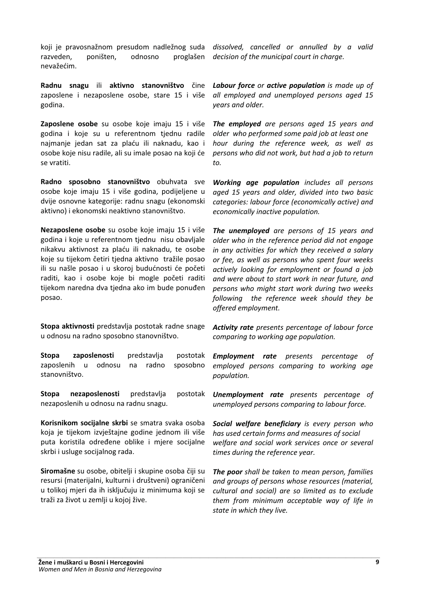koji je pravosnažnom presudom nadležnog suda *dissolved, cancelled or annulled by a valid* razveden, poništen, odnosno proglašen nevažećim.

Radnu snagu ili aktivno stanovništvo čine zaposlene i nezaposlene osobe, stare 15 i više godina.

Zaposlene osobe su osobe koje imaju 15 i više godina i koje su u referentnom tjednu radile najmanje jedan sat za plaću ili naknadu, kao i osobe koje nisu radile, ali su imale posao na koji će se vratiti.

Radno sposobno stanovništvo obuhvata sve osobe koje imaju 15 i više godina, podijeljene u dvije osnovne kategorije: radnu snagu (ekonomski aktivno) i ekonomski neaktivno stanovništvo.

Nezaposlene osobe su osobe koje imaju 15 i više godina i koje u referentnom tjednu nisu obavljale nikakvu aktivnost za plaću ili naknadu, te osobe koje su tijekom četiri tjedna aktivno tražile posao ili su našle posao i u skoroj budućnosti će početi raditi, kao i osobe koje bi mogle početi raditi tijekom naredna dva tjedna ako im bude ponuđen posao.

Stopa aktivnosti predstavlja postotak radne snage u odnosu na radno sposobno stanovništvo.

Stopa zaposlenosti predstavlja postotak zaposlenih u odnosu na radno sposobno stanovništvo.

Stopa nezaposlenosti  predstavlja postotak nezaposlenih u odnosu na radnu snagu.

Korisnikom socijalne skrbi se smatra svaka osoba koja je tijekom izvještajne godine jednom ili više puta koristila određene oblike i mjere socijalne skrbi i usluge socijalnog rada.

Siromašne su osobe, obitelji i skupine osoba čiji su resursi (materijalni, kulturni i društveni) ograničeni u tolikoj mjeri da ih isključuju iz minimuma koji se traži za život u zemlji u kojoj žive.

*decision of the municipal court in charge.* 

*Labour force or active population is made up of all employed and unemployed persons aged 15 years and older.*

*The employed are persons aged 15 years and older who performed some paid job at least one hour during the reference week, as well as persons who did not work, but had a job to return to.*

*Working age population includes all persons aged 15 years and older, divided into two basic categories: labour force (economically active) and economically inactive population.* 

*The unemployed are persons of 15 years and older who in the reference period did not engage in any activities for which they received a salary or fee, as well as persons who spent four weeks actively looking for employment or found a job and were about to start work in near future, and persons who might start work during two weeks following the reference week should they be offered employment.*

*Activity rate presents percentage of labour force comparing to working age population.* 

*Employment rate presents percentage of employed persons comparing to working age population.* 

*Unemployment rate presents percentage of unemployed persons comparing to labour force.* 

*Social welfare beneficiary is every person who has used certain forms and measures of social welfare and social work services once or several times during the reference year.* 

*The poor shall be taken to mean person, families and groups of persons whose resources (material, cultural and social) are so limited as to exclude them from minimum acceptable way of life in state in which they live.*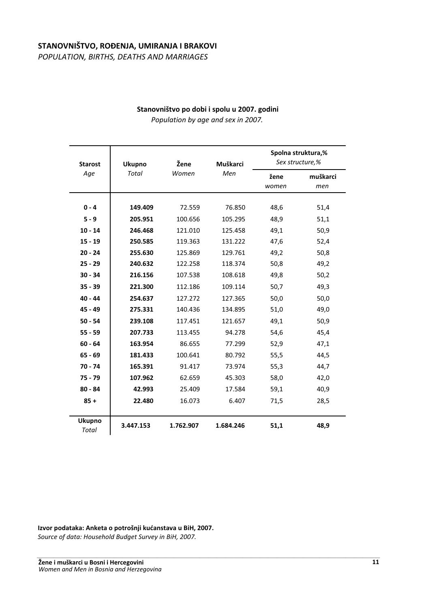#### STANOVNIŠTVO, ROĐENJA, UMIRANJA I BRAKOVI

*POPULATION, BIRTHS, DEATHS AND MARRIAGES*

#### Stanovništvo po dobi i spolu u 2007. godini

*Population by age and sex in 2007.*

| <b>Starost</b>         | Ukupno    | Žene      | Muškarci  | Spolna struktura,%<br>Sex structure,% |          |
|------------------------|-----------|-----------|-----------|---------------------------------------|----------|
| Age                    | Total     | Women     | Men       | žene                                  | muškarci |
|                        |           |           |           | women                                 | men      |
|                        |           |           |           |                                       |          |
| $0 - 4$                | 149.409   | 72.559    | 76.850    | 48,6                                  | 51,4     |
| $5 - 9$                | 205.951   | 100.656   | 105.295   | 48,9                                  | 51,1     |
| $10 - 14$              | 246.468   | 121.010   | 125.458   | 49,1                                  | 50,9     |
| $15 - 19$              | 250.585   | 119.363   | 131.222   | 47,6                                  | 52,4     |
| $20 - 24$              | 255.630   | 125.869   | 129.761   | 49,2                                  | 50,8     |
| $25 - 29$              | 240.632   | 122.258   | 118.374   | 50,8                                  | 49,2     |
| $30 - 34$              | 216.156   | 107.538   | 108.618   | 49,8                                  | 50,2     |
| $35 - 39$              | 221.300   | 112.186   | 109.114   | 50,7                                  | 49,3     |
| $40 - 44$              | 254.637   | 127.272   | 127.365   | 50,0                                  | 50,0     |
| $45 - 49$              | 275.331   | 140.436   | 134.895   | 51,0                                  | 49,0     |
| $50 - 54$              | 239.108   | 117.451   | 121.657   | 49,1                                  | 50,9     |
| $55 - 59$              | 207.733   | 113.455   | 94.278    | 54,6                                  | 45,4     |
| $60 - 64$              | 163.954   | 86.655    | 77.299    | 52,9                                  | 47,1     |
| $65 - 69$              | 181.433   | 100.641   | 80.792    | 55,5                                  | 44,5     |
| $70 - 74$              | 165.391   | 91.417    | 73.974    | 55,3                                  | 44,7     |
| $75 - 79$              | 107.962   | 62.659    | 45.303    | 58,0                                  | 42,0     |
| $80 - 84$              | 42.993    | 25.409    | 17.584    | 59,1                                  | 40,9     |
| $85 +$                 | 22.480    | 16.073    | 6.407     | 71,5                                  | 28,5     |
|                        |           |           |           |                                       |          |
| <b>Ukupno</b><br>Total | 3.447.153 | 1.762.907 | 1.684.246 | 51,1                                  | 48,9     |

Izvor podataka: Anketa o potrošnji kućanstava u BiH, 2007. *Source of data: Household Budget Survey in BiH, 2007.* -

-

-

-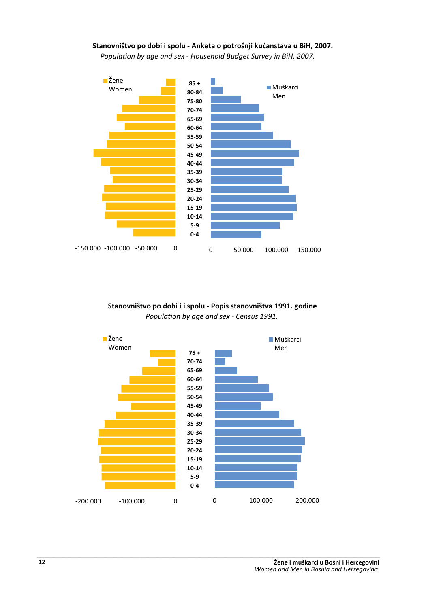#### Stanovništvo po dobi i spolu - Anketa o potrošnji kućanstava u BiH, 2007. *Population by age and sex - Household Budget Survey in BiH, 2007.*



#### Stanovništvo po dobi i i spolu - Popis stanovništva 1991. godine *Population by age and sex - Census 1991.*

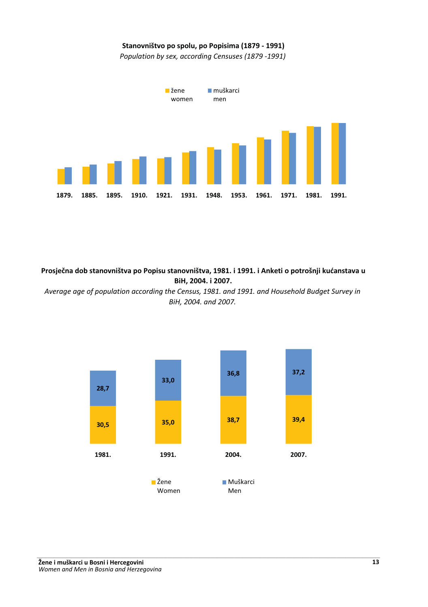#### Stanovništvo po spolu, po Popisima (1879 - 1991)

*Population by sex, according Censuses (1879 -1991)*



Prosječna dob stanovništva po Popisu stanovništva, 1981. i 1991. i Anketi o potrošnji kućanstava u  $B$ **iH**, 2004. i 2007.

*Average age of population according the Census, 1981. and 1991. and Household Budget Survey in BiH, 2004. and 2007.*

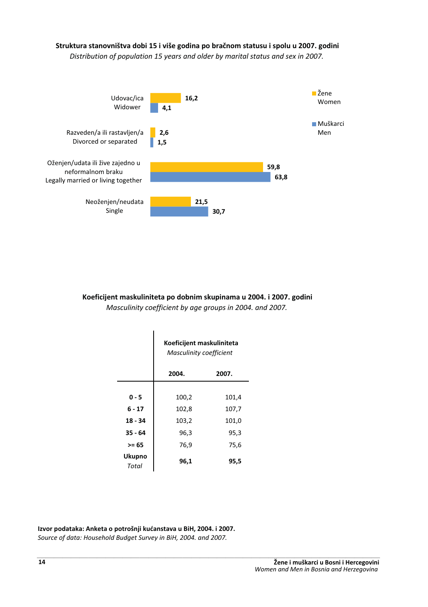### Struktura stanovništva dobi 15 i više godina po bračnom statusu i spolu u 2007. godini

*Distribution of population 15 years and older by marital status and sex in 2007.*



Koeficijent maskuliniteta po dobnim skupinama u 2004. i 2007. godini *Masculinity coefficient by age groups in 2004. and 2007.*

|                        | Koeficijent maskuliniteta<br><b>Masculinity coefficient</b> |       |  |
|------------------------|-------------------------------------------------------------|-------|--|
|                        | 2004.                                                       | 2007. |  |
|                        |                                                             |       |  |
| $0 - 5$                | 100,2                                                       | 101,4 |  |
| 6 - 17                 | 102,8                                                       | 107,7 |  |
| $18 - 34$              | 103,2                                                       | 101,0 |  |
| $35 - 64$              | 96,3                                                        | 95,3  |  |
| >= 65                  | 76,9                                                        | 75,6  |  |
| <b>Ukupno</b><br>Total | 96,1                                                        | 95,5  |  |

Izvor podataka: Anketa o potrošnji kućanstava u BiH, 2004. i 2007. *Source of data: Household Budget Survey in BiH, 2004. and 2007.* -...<br>... --...<br>... -...<br>... ...<br>... --ر<br>-<br>--...<br>. ..,<br>. -- $\cdot$ --...**.**. ---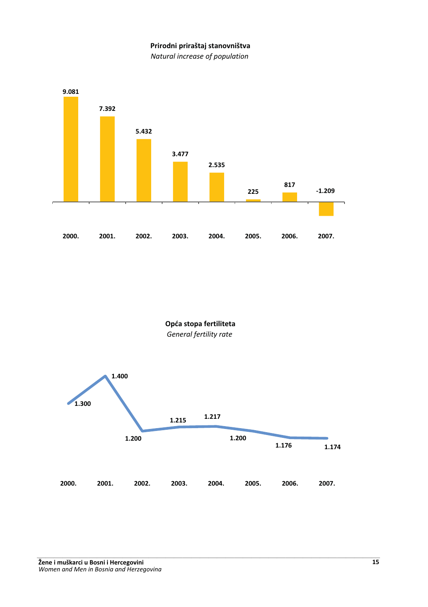#### Prirodni priraštaj stanovništva

*Natural increase of population*



Opća stopa fertiliteta *General fertility rate*

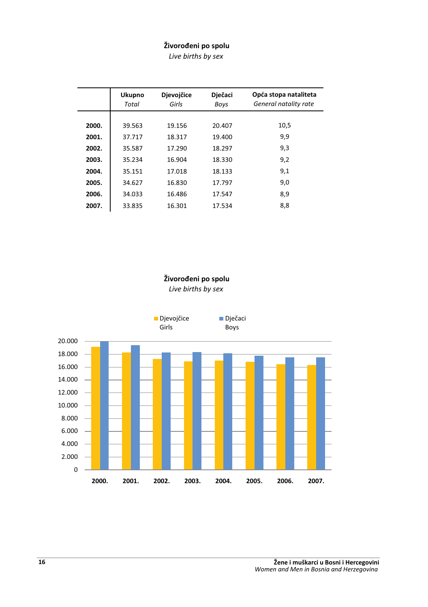#### Živorođeni po spolu

*Live births by sex* 

|       | <b>Ukupno</b><br>Total | <b>Djevojčice</b><br>Girls | Dječaci<br>Boys | Opća stopa nataliteta<br>General natality rate |
|-------|------------------------|----------------------------|-----------------|------------------------------------------------|
| 2000. | 39.563                 | 19.156                     | 20.407          | 10,5                                           |
| 2001. | 37.717                 | 18.317                     | 19.400          | 9,9                                            |
| 2002. | 35.587                 | 17.290                     | 18.297          | 9.3                                            |
| 2003. | 35.234                 | 16.904                     | 18.330          | 9,2                                            |
| 2004. | 35.151                 | 17.018                     | 18.133          | 9,1                                            |
| 2005. | 34.627                 | 16.830                     | 17.797          | 9,0                                            |
| 2006. | 34.033                 | 16.486                     | 17.547          | 8,9                                            |
| 2007. | 33.835                 | 16.301                     | 17.534          | 8,8                                            |

Živorođeni po spolu

*Live births by sex* 

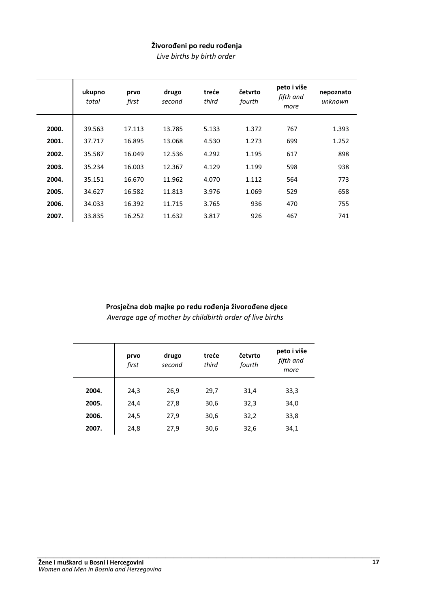#### Živorođeni po redu rođenja

*Live births by birth order*

|       | ukupno<br>total | prvo<br>first | drugo<br>second | treće<br>third | četvrto<br>fourth | peto i više<br>fifth and<br>more | nepoznato<br>unknown |
|-------|-----------------|---------------|-----------------|----------------|-------------------|----------------------------------|----------------------|
|       |                 |               |                 |                |                   |                                  |                      |
| 2000. | 39.563          | 17.113        | 13.785          | 5.133          | 1.372             | 767                              | 1.393                |
| 2001. | 37.717          | 16.895        | 13.068          | 4.530          | 1.273             | 699                              | 1.252                |
| 2002. | 35.587          | 16.049        | 12.536          | 4.292          | 1.195             | 617                              | 898                  |
| 2003. | 35.234          | 16.003        | 12.367          | 4.129          | 1.199             | 598                              | 938                  |
| 2004. | 35.151          | 16.670        | 11.962          | 4.070          | 1.112             | 564                              | 773                  |
| 2005. | 34.627          | 16.582        | 11.813          | 3.976          | 1.069             | 529                              | 658                  |
| 2006. | 34.033          | 16.392        | 11.715          | 3.765          | 936               | 470                              | 755                  |
| 2007. | 33.835          | 16.252        | 11.632          | 3.817          | 926               | 467                              | 741                  |

#### Prosječna dob majke po redu rođenja živorođene djece

*Average age of mother by childbirth order of live births* 

|       | prvo<br>first | drugo<br>second | treće<br>third | četvrto<br>fourth | peto i više<br>fifth and<br>more |
|-------|---------------|-----------------|----------------|-------------------|----------------------------------|
| 2004. | 24,3          | 26,9            | 29,7           | 31,4              | 33,3                             |
| 2005. | 24,4          | 27,8            | 30,6           | 32,3              | 34,0                             |
| 2006. | 24,5          | 27,9            | 30,6           | 32,2              | 33,8                             |
| 2007. | 24,8          | 27,9            | 30,6           | 32,6              | 34,1                             |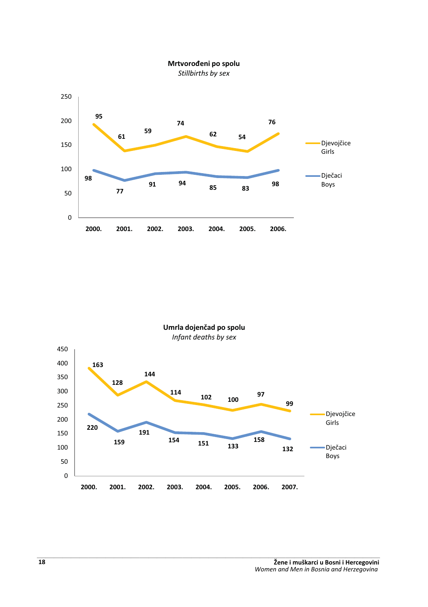

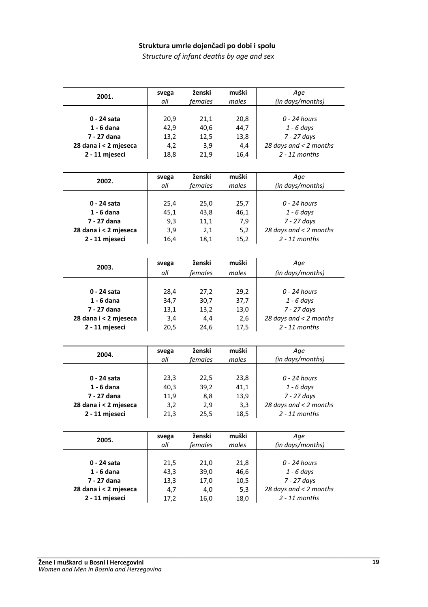#### Struktura umrle dojenčadi po dobi i spolu

*Structure of infant deaths by age and sex* 

| 2001.                 | svega | ženski  | muški | Age                    |
|-----------------------|-------|---------|-------|------------------------|
|                       | all   | females | males | (in days/months)       |
|                       |       |         |       |                        |
| 0 - 24 sata           | 20,9  | 21,1    | 20,8  | 0 - 24 hours           |
| 1 - 6 dana            | 42,9  | 40,6    | 44,7  | $1 - 6$ days           |
| 7 - 27 dana           | 13,2  | 12,5    | 13,8  | 7 - 27 days            |
| 28 dana i < 2 mjeseca | 4,2   | 3,9     | 4,4   | 28 days and < 2 months |
| 2 - 11 mjeseci        | 18,8  | 21,9    | 16,4  | $2 - 11$ months        |
|                       |       |         |       |                        |
|                       |       |         |       |                        |
|                       | svega | ženski  | muški | Age                    |
| 2002.                 | all   | females | males | (in days/months)       |
|                       |       |         |       |                        |
| 0 - 24 sata           | 25,4  | 25,0    | 25,7  | $0 - 24$ hours         |
| 1 - 6 dana            | 45,1  | 43,8    | 46,1  | $1 - 6$ days           |
| 7 - 27 dana           |       |         |       | 7 - 27 days            |
|                       | 9,3   | 11,1    | 7,9   |                        |
| 28 dana i < 2 mjeseca | 3,9   | 2,1     | 5,2   | 28 days and < 2 months |
| 2 - 11 mjeseci        | 16,4  | 18,1    | 15,2  | $2 - 11$ months        |
|                       |       |         |       |                        |
|                       | svega | ženski  | muški | Age                    |
| 2003.                 | all   | females | males | (in days/months)       |
|                       |       |         |       |                        |
|                       |       |         |       |                        |
| 0 - 24 sata           | 28,4  | 27,2    | 29,2  | 0 - 24 hours           |
| 1 - 6 dana            | 34,7  | 30,7    | 37,7  | $1 - 6$ days           |
| 7 - 27 dana           | 13,1  | 13,2    | 13,0  | 7 - 27 days            |
| 28 dana i < 2 mjeseca | 3,4   | 4,4     | 2,6   | 28 days and < 2 months |
| 2 - 11 mjeseci        | 20,5  | 24,6    | 17,5  | $2 - 11$ months        |
|                       |       |         |       |                        |
|                       |       |         |       |                        |
| 2004.                 | svega | ženski  | muški | Age                    |
|                       | all   | females | males | (in days/months)       |
|                       |       |         |       |                        |
| 0 - 24 sata           | 23,3  | 22,5    | 23,8  | 0 - 24 hours           |
| 1 - 6 dana            | 40,3  | 39,2    | 41,1  | $1 - 6$ days           |
| 7 - 27 dana           | 11,9  | 8,8     | 13,9  | 7 - 27 days            |
| 28 dana i < 2 mjeseca | 3,2   | 2,9     | 3,3   | 28 days and < 2 months |
| 2 - 11 mjeseci        | 21,3  | 25,5    | 18,5  | $2 - 11$ months        |
|                       |       |         |       |                        |
|                       |       |         |       |                        |
| 2005.                 | svega | ženski  | muški | Age                    |
|                       | all   | females | males | (in days/months)       |
|                       |       |         |       |                        |
| 0 - 24 sata           | 21,5  | 21,0    | 21,8  | $0 - 24$ hours         |
| $1 - 6$ dana          | 43,3  | 39,0    | 46,6  | $1 - 6$ days           |
| 7 - 27 dana           | 13,3  | 17,0    | 10,5  | 7 - 27 days            |
| 28 dana i < 2 mjeseca | 4,7   | 4,0     | 5,3   | 28 days and < 2 months |
| 2 - 11 mjeseci        | 17,2  | 16,0    | 18,0  | $2 - 11$ months        |
|                       |       |         |       |                        |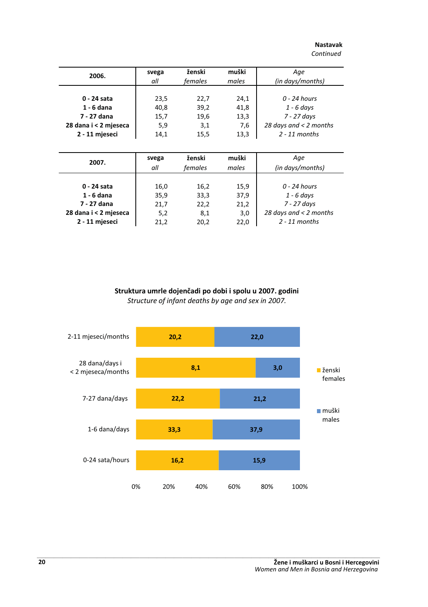#### **Nastavak**

*Continued*

| 2006.                 | svega<br>all | ženski<br>females | muški<br>males | Age<br>(in days/months)  |
|-----------------------|--------------|-------------------|----------------|--------------------------|
|                       |              |                   |                |                          |
| 0 - 24 sata           | 23,5         | 22,7              | 24,1           | $0 - 24$ hours           |
| 1 - 6 dana            | 40.8         | 39,2              | 41,8           | $1 - 6$ days             |
| 7 - 27 dana           | 15,7         | 19,6              | 13,3           | 7 - 27 days              |
| 28 dana i < 2 mjeseca | 5,9          | 3,1               | 7,6            | 28 days and $<$ 2 months |
| 2 - 11 mjeseci        | 14,1         | 15,5              | 13,3           | $2 - 11$ months          |

| 2007.                 | svega | ženski  | muški | Age                      |
|-----------------------|-------|---------|-------|--------------------------|
|                       | all   | females | males | (in days/months)         |
| 0 - 24 sata           | 16,0  | 16,2    | 15,9  | 0 - 24 hours             |
| $1 - 6$ dana          | 35,9  | 33,3    | 37,9  | $1 - 6$ days             |
| 7 - 27 dana           | 21,7  | 22,2    | 21,2  | 7 - 27 days              |
| 28 dana i < 2 mjeseca | 5,2   | 8,1     | 3,0   | 28 days and $<$ 2 months |
| 2 - 11 mjeseci        | 21,2  | 20,2    | 22,0  | $2 - 11$ months          |

Struktura umrle dojenčadi po dobi i spolu u 2007. godini *Structure of infant deaths by age and sex in 2007.*

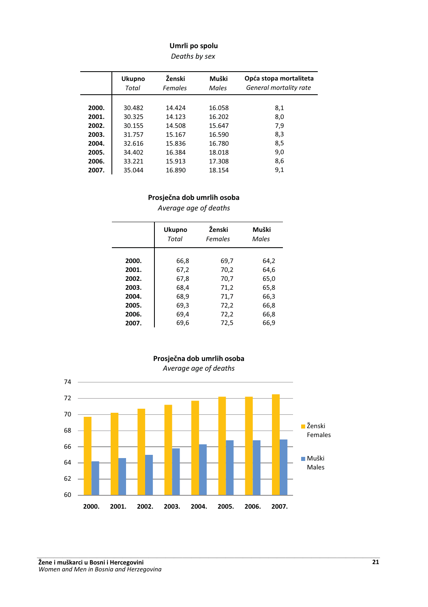#### Umrli po spolu

*Deaths by sex* 

|       | <b>Ukupno</b><br>Total | Ženski<br>Females | Muški<br><b>Males</b> | Opća stopa mortaliteta<br>General mortality rate |
|-------|------------------------|-------------------|-----------------------|--------------------------------------------------|
|       |                        |                   |                       |                                                  |
| 2000. | 30.482                 | 14.424            | 16.058                | 8,1                                              |
| 2001. | 30.325                 | 14.123            | 16.202                | 8,0                                              |
| 2002. | 30.155                 | 14.508            | 15.647                | 7,9                                              |
| 2003. | 31.757                 | 15.167            | 16.590                | 8,3                                              |
| 2004. | 32.616                 | 15.836            | 16.780                | 8,5                                              |
| 2005. | 34.402                 | 16.384            | 18.018                | 9,0                                              |
| 2006. | 33.221                 | 15.913            | 17.308                | 8,6                                              |
| 2007. | 35.044                 | 16.890            | 18.154                | 9,1                                              |

#### Prosječna dob umrlih osoba

*Average age of deaths* 

|                                                             | Ženski<br><b>Ukupno</b><br>Total<br>Females          |                                                      | Muški<br><b>Males</b>                                |
|-------------------------------------------------------------|------------------------------------------------------|------------------------------------------------------|------------------------------------------------------|
| 2000.<br>2001.<br>2002.<br>2003.<br>2004.<br>2005.<br>2006. | 66,8<br>67,2<br>67,8<br>68,4<br>68,9<br>69,3<br>69,4 | 69,7<br>70,2<br>70,7<br>71,2<br>71,7<br>72,2<br>72,2 | 64,2<br>64,6<br>65,0<br>65,8<br>66,3<br>66,8<br>66,8 |
| 2007.                                                       | 69,6                                                 | 72,5                                                 | 66,9                                                 |



#### Prosječna dob umrlih osoba *Average age of deaths*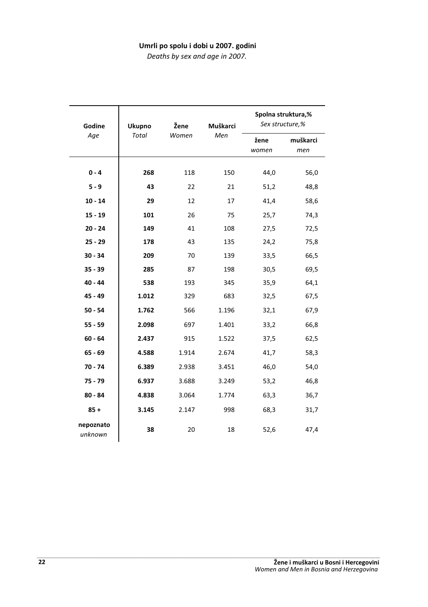#### Umrli po spolu i dobi u 2007. godini

*Deaths by sex and age in 2007.*

| Godine               | <b>Ukupno</b> | Žene  | Muškarci | Sex structure,% | Spolna struktura,% |
|----------------------|---------------|-------|----------|-----------------|--------------------|
| Age                  | <b>Total</b>  | Women | Men      | žene<br>women   | muškarci<br>men    |
| $0 - 4$              | 268           | 118   | 150      | 44,0            | 56,0               |
| $5 - 9$              | 43            | 22    | 21       | 51,2            | 48,8               |
| $10 - 14$            | 29            | 12    | 17       | 41,4            | 58,6               |
| $15 - 19$            | 101           | 26    | 75       | 25,7            | 74,3               |
| $20 - 24$            | 149           | 41    | 108      | 27,5            | 72,5               |
| $25 - 29$            | 178           | 43    | 135      | 24,2            | 75,8               |
| $30 - 34$            | 209           | 70    | 139      | 33,5            | 66,5               |
| $35 - 39$            | 285           | 87    | 198      | 30,5            | 69,5               |
| $40 - 44$            | 538           | 193   | 345      | 35,9            | 64,1               |
| $45 - 49$            | 1.012         | 329   | 683      | 32,5            | 67,5               |
| $50 - 54$            | 1.762         | 566   | 1.196    | 32,1            | 67,9               |
| $55 - 59$            | 2.098         | 697   | 1.401    | 33,2            | 66,8               |
| $60 - 64$            | 2.437         | 915   | 1.522    | 37,5            | 62,5               |
| $65 - 69$            | 4.588         | 1.914 | 2.674    | 41,7            | 58,3               |
| $70 - 74$            | 6.389         | 2.938 | 3.451    | 46,0            | 54,0               |
| $75 - 79$            | 6.937         | 3.688 | 3.249    | 53,2            | 46,8               |
| $80 - 84$            | 4.838         | 3.064 | 1.774    | 63,3            | 36,7               |
| $85 +$               | 3.145         | 2.147 | 998      | 68,3            | 31,7               |
| nepoznato<br>unknown | 38            | 20    | 18       | 52,6            | 47,4               |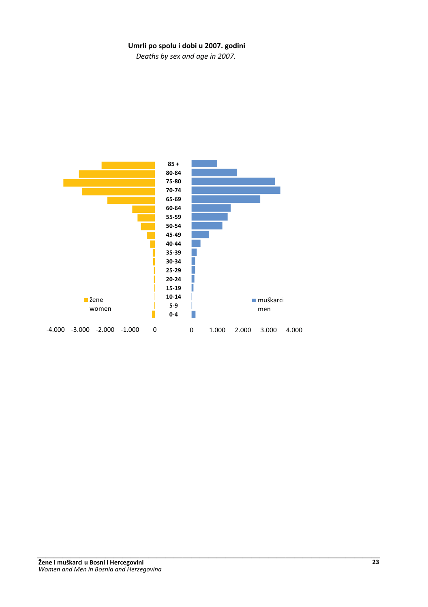#### Umrli po spolu i dobi u 2007. godini

*Deaths by sex and age in 2007.*

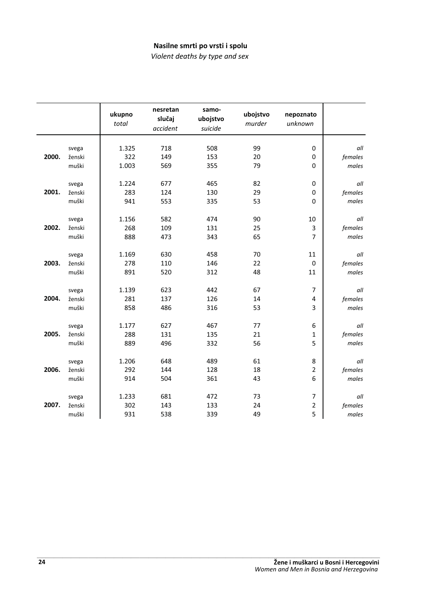#### Nasilne smrti po vrsti i spolu

*Violent deaths by type and sex* 

|       |        | ukupno<br>total | nesretan<br>slučaj<br>accident | samo-<br>ubojstvo<br>suicide | ubojstvo<br>murder | nepoznato<br>unknown |         |
|-------|--------|-----------------|--------------------------------|------------------------------|--------------------|----------------------|---------|
|       |        |                 |                                |                              |                    |                      |         |
|       | svega  | 1.325           | 718                            | 508                          | 99                 | $\mathbf 0$          | all     |
| 2000. | ženski | 322             | 149                            | 153                          | 20                 | $\mathbf 0$          | females |
|       | muški  | 1.003           | 569                            | 355                          | 79                 | $\Omega$             | males   |
|       | svega  | 1.224           | 677                            | 465                          | 82                 | 0                    | all     |
| 2001. | ženski | 283             | 124                            | 130                          | 29                 | 0                    | females |
|       | muški  | 941             | 553                            | 335                          | 53                 | $\mathbf 0$          | males   |
|       |        |                 |                                |                              |                    |                      |         |
|       | svega  | 1.156           | 582                            | 474                          | 90                 | 10                   | all     |
| 2002. | ženski | 268             | 109                            | 131                          | 25                 | 3                    | females |
|       | muški  | 888             | 473                            | 343                          | 65                 | $\overline{7}$       | males   |
|       |        |                 |                                |                              |                    |                      |         |
|       | svega  | 1.169           | 630                            | 458                          | 70                 | 11                   | all     |
| 2003. | ženski | 278             | 110                            | 146                          | 22                 | $\mathbf 0$          | females |
|       | muški  | 891             | 520                            | 312                          | 48                 | 11                   | males   |
|       | svega  | 1.139           | 623                            | 442                          | 67                 | $\overline{7}$       | all     |
| 2004. | ženski | 281             | 137                            | 126                          | 14                 | 4                    | females |
|       | muški  | 858             | 486                            | 316                          | 53                 | 3                    | males   |
|       |        |                 |                                |                              |                    |                      |         |
|       | svega  | 1.177           | 627                            | 467                          | 77                 | 6                    | all     |
| 2005. | ženski | 288             | 131                            | 135                          | 21                 | 1                    | females |
|       | muški  | 889             | 496                            | 332                          | 56                 | 5                    | males   |
|       | svega  | 1.206           | 648                            | 489                          | 61                 | 8                    | all     |
| 2006. | ženski | 292             | 144                            | 128                          | 18                 | 2                    | females |
|       | muški  | 914             | 504                            | 361                          | 43                 | 6                    | males   |
|       |        |                 |                                |                              |                    |                      |         |
|       | svega  | 1.233           | 681                            | 472                          | 73                 | 7                    | all     |
| 2007. | ženski | 302             | 143                            | 133                          | 24                 | 2                    | females |
|       | muški  | 931             | 538                            | 339                          | 49                 | 5                    | males   |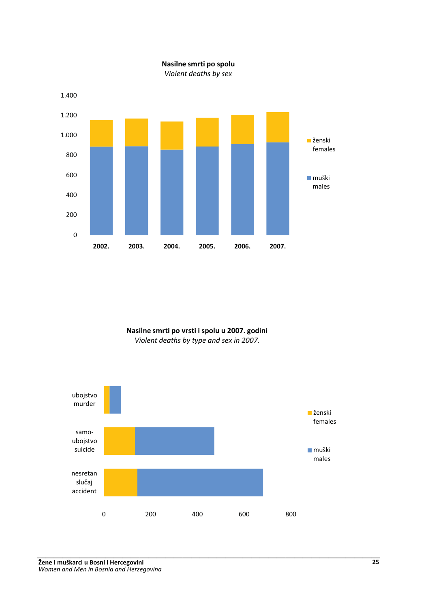

Nasilne smrti po spolu

Nasilne smrti po vrsti i spolu u 2007. godini *Violent deaths by type and sex in 2007.*



**-** *-*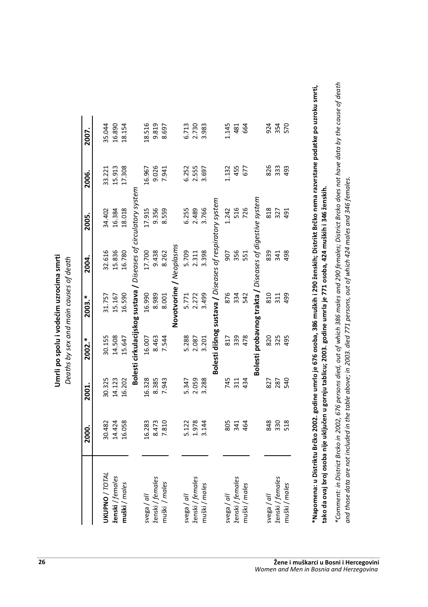| i i vodećim uzrocima smrt | Deaths by sex and main causes of death |
|---------------------------|----------------------------------------|
|                           |                                        |
| Umrli po spolu            |                                        |
|                           |                                        |

|                  | 2000.  | 2001.  | 2002.* | 2003.*                                                          | 2004.      | 2005.  | 2006.  | 2007.  |
|------------------|--------|--------|--------|-----------------------------------------------------------------|------------|--------|--------|--------|
| UKUPNO / TOTAL   | 30.482 | 30.325 | 30.155 | 31.757                                                          | 32.616     | 34.402 | 33.221 | 35.044 |
| ženski / females | 14.424 | 14.123 | 14.508 | 15.167                                                          | 15.836     | 16.384 | 15.913 | 16.890 |
| muški / males    | 16.058 | 16.202 | 15.647 | 16.590                                                          | 16.780     | 18.018 | 17.308 | 18.154 |
|                  |        |        |        | Bolesti cirkulacijskog sustava / Diseases of circulatory system |            |        |        |        |
| svega / all      | 16.283 | 16.328 | 16.007 | 16.990                                                          | 17.700     | 17.915 | 16.967 | 18.516 |
| ženski / females | 8.473  | 8.385  | 8.463  |                                                                 | 9.438      | 9.356  | 9.026  | 9.819  |
| muški / males    | 7.810  | 7.943  | 7.544  | 8.989<br>8.001                                                  | 8.262      | 8.559  | 7.941  | 8.697  |
|                  |        |        |        | Novotvorine / Neoplasms                                         |            |        |        |        |
| svega / all      | 5.122  | 5.347  | 5.288  | 5.771                                                           | 5.709      | 6.255  | 6.252  | 6.713  |
| ženski / females | 1.978  | 2.059  | 2.087  | 2.272                                                           | 2.311      | 2.489  | 2.555  | 2.730  |
| muški/males      | 3.144  | 3.288  | 3.201  | 3.499                                                           | 3.398      | 3.766  | 3.697  | 3.983  |
|                  |        |        |        | Bolesti dišnog sustava / Diseases of respiratory system         |            |        |        |        |
| svega / all      | 805    | 745    | 817    | 876                                                             | 507        | 1.242  | 1.132  | 145    |
| ženski / females | 341    | 311    | 339    | 334                                                             | 356        | 516    | 455    | 481    |
| muški / males    | 464    | 434    | 478    | 542                                                             | 551        | 726    | 677    | 664    |
|                  |        |        |        | Bolesti probavnog trakta / Diseases of digestive system         |            |        |        |        |
| svega / all      | 848    | 827    | 820    | 810                                                             | 839        | 818    | 826    | 924    |
| ženski / females | 330    | 287    | 325    | 311                                                             | 341<br>498 | 327    | 333    | 354    |
| muški / males    | 518    | 540    | 495    | 499                                                             |            | 491    | 493    | 570    |

\*Napomena: u Di <u>ទ្</u> ktu Brčko 2002. godi ne umrlo je 676 osoba, 386 muški 290 ženski **~** kt Brčko nema razvrstane podatke po uzroku smrti  tako da ovaj broj osoba ni je uključen u gornju tabli cu; 2003. godi ne umrla je 771 osoba, 424 muški  **346** ženski **=**

\*Comment: in District Brcko in 2002, 676 persons died, out of which 386 males and 290 females; District Brcko does not have data by the cause of death *\*Comment: in District Brcko in 2002, 676 persons died, out of which 386 males and 290 females; District Brcko does not have data by the cause of death*  and those data are not included in the table above; in 2003. died 771 persons, out of which 424 males and 346 females. *and those data are not included in the table above; in 2003. died 771 persons, out of which 424 males and 346 females.*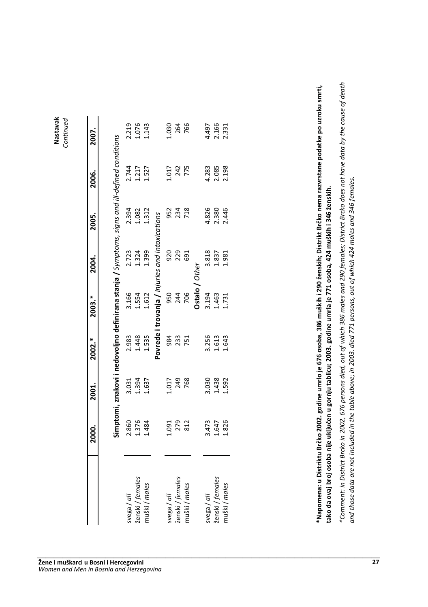**Nastavak** Continued Nastavak *Continued*

|                  | 2000.                   | 2001.                   | 2002.*                  | 2003.*                                                                                        | 2004.                           | 2005.                   | 2006.                   | 2007.                   |
|------------------|-------------------------|-------------------------|-------------------------|-----------------------------------------------------------------------------------------------|---------------------------------|-------------------------|-------------------------|-------------------------|
|                  |                         |                         |                         |                                                                                               |                                 |                         |                         |                         |
|                  |                         |                         |                         | Simptomi, znakovi i nedovoljno definirana stanja / Symptoms, signs and ill-defined conditions |                                 |                         |                         |                         |
| wega/all         |                         |                         | 2.983                   | 3.166                                                                                         |                                 | 2.394                   |                         |                         |
| ženski / females | 2.860<br>1.376<br>1.484 | 3.031<br>1.394<br>1.637 | 1.448                   | 1.554                                                                                         | 2.723<br>1.324                  | 1.082                   | 2.744<br>1.217<br>1.527 | 2.219<br>1.076<br>1.143 |
| muški / males    |                         |                         | 1.535                   | 1.612                                                                                         | 1.399                           | 1.312                   |                         |                         |
|                  |                         |                         | Povrede i               |                                                                                               | trovanja / Injuries and intoxio | cations                 |                         |                         |
| svega / all      | 1.091                   | 1.017                   | 984                     | 950                                                                                           | 920                             |                         | L017                    | 1.030                   |
| ženski / females | 279                     | 249                     | 233                     | 244                                                                                           | 229                             | 952<br>234              | 242<br>775              | 264                     |
| muški / males    | 812                     | 768                     | 751                     | 706                                                                                           | 691                             | 718                     |                         | 766                     |
|                  |                         |                         |                         | Ostalo / Other                                                                                |                                 |                         |                         |                         |
| wega/all         |                         |                         |                         | 3.194                                                                                         |                                 |                         |                         |                         |
| ženski / females | 3.473<br>1.647<br>1.826 | 3.030<br>1.438<br>1.592 | 3.256<br>1.613<br>1.643 | 1.463                                                                                         | 3.818<br>1.837                  | 4.826<br>2.380<br>2.446 | 4.283<br>2.085<br>2.198 | 4.497<br>2.166<br>2.331 |
| muški/males      |                         |                         |                         | 1.731                                                                                         | 1.981                           |                         |                         |                         |
|                  |                         |                         |                         |                                                                                               |                                 |                         |                         |                         |

\*Napomena: u Di <u>ទ្រ</u> **%
\$** ko 2002. godi ne umrlo je 676 osoba, 386 muški 290 ženski ة<br>غ kt Brčko nema razvrstane podatke po uzroku smrti  tako da ovaj broj osoba ni je uključen u gornju tabli cu; 2003. godi ne umrla je 771 osoba, 424 muški  **346** ženski **=**

\*Comment: in District Brcko in 2002, 676 persons died, out of which 386 males and 290 females; District Brcko does not have data by the cause of death *\*Comment: in District Brcko in 2002, 676 persons died, out of which 386 males and 290 females; District Brcko does not have data by the cause of death*  and those data are not included in the table above; in 2003. died 771 persons, out of which 424 males and 346 females. *and those data are not included in the table above; in 2003. died 771 persons, out of which 424 males and 346 females.*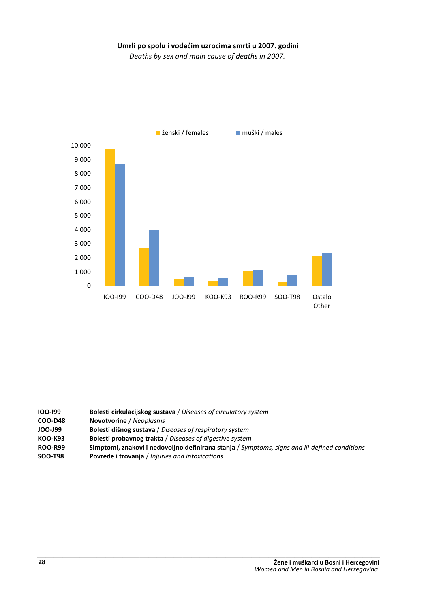#### Umrli po spolu i vodećim uzrocima smrti u 2007. godini

*Deaths by sex and main cause of deaths in 2007.*



| 100-199        | Bolesti cirkulacijskog sustava / Diseases of circulatory system                               |
|----------------|-----------------------------------------------------------------------------------------------|
| COO-D48        | <b>Novotvorine</b> / Neoplasms                                                                |
| <b>JOO-J99</b> | Bolesti dišnog sustava / Diseases of respiratory system                                       |
| <b>KOO-K93</b> | Bolesti probavnog trakta / Diseases of digestive system                                       |
| <b>ROO-R99</b> | Simptomi, znakovi i nedovoljno definirana stanja / Symptoms, signs and ill-defined conditions |
| <b>SOO-T98</b> | Povrede i trovanja / Injuries and intoxications                                               |
|                |                                                                                               |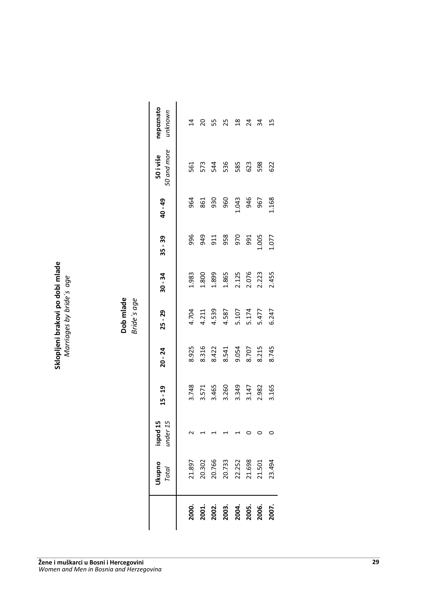Sklopljeni **brakovi** po dobi **#** *Marriages by bride´s age*

Dob mlade *Bride´s age*

**Dob mlade**<br>Bride's age

|                                              | Jkupno<br>Total                                          | $i$ spod 15<br>$i$ nder 15 | $15 - 19$                                          | $20 - 24$                                 | $25 - 29$                                                   | $30 - 34$                                 | $35 - 39$ | 40 - 49                          | 50 i više<br>50 and more                  | nepoznato<br>unknown |
|----------------------------------------------|----------------------------------------------------------|----------------------------|----------------------------------------------------|-------------------------------------------|-------------------------------------------------------------|-------------------------------------------|-----------|----------------------------------|-------------------------------------------|----------------------|
|                                              |                                                          |                            |                                                    |                                           |                                                             | 1.983                                     |           |                                  |                                           | $\overline{4}$       |
|                                              |                                                          |                            |                                                    |                                           |                                                             |                                           |           | 96 1<br>96 1<br>960              |                                           | 20                   |
|                                              |                                                          |                            |                                                    |                                           |                                                             |                                           |           |                                  |                                           | 5S                   |
| 2000.<br>2001.<br>2003. 2004.<br>2005. 2006. | 21.897<br>20.302<br>20.733<br>20.733<br>21.501<br>21.501 |                            | 3.748<br>3.571<br>3.465<br>3.349<br>3.147<br>3.165 | 8.925<br>8.316<br>8.541<br>8.745<br>8.745 | 4.704<br>4.211<br>4.539<br>4.587<br>5.477<br>5.477<br>5.247 | 1.800<br>1.899<br>1.865<br>2.076<br>2.455 |           |                                  | 5<br>5 5 7 8 9 9 9 9 9<br>5 7 9 9 9 9 9 9 | 25                   |
|                                              |                                                          |                            |                                                    |                                           |                                                             |                                           |           | 960<br>1386<br>956<br>967<br>968 |                                           |                      |
|                                              |                                                          |                            |                                                    |                                           |                                                             |                                           |           |                                  |                                           | <u>প্ৰ প্ৰ</u>       |
|                                              |                                                          |                            |                                                    |                                           |                                                             |                                           |           |                                  |                                           | ್ಲಿ                  |
|                                              |                                                          |                            |                                                    |                                           |                                                             |                                           |           |                                  |                                           | $\mathbf{5}$         |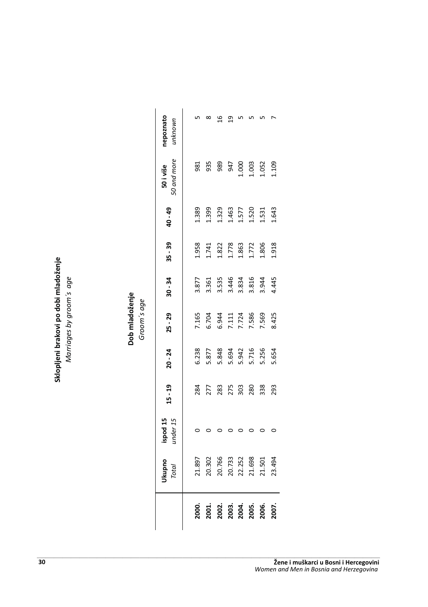mladoženje Marriages by groom's age *Marriages by groom´s age* po dobi **brakovi** Sklopljeni

**Dob mladoženje**<br>Groom´s age Dob mladoženje

*Groom´s age*

|                         | Jkupno<br>Total                                | ispod 15<br><i>under</i> 15 | $15 - 19$ | $20 - 24$                                  | $25 - 29$                        | $30 - 34$      | $35 - 39$ | 40 - 49        | 0 and more<br>50 i više                                         | otenzodal<br>unknown |
|-------------------------|------------------------------------------------|-----------------------------|-----------|--------------------------------------------|----------------------------------|----------------|-----------|----------------|-----------------------------------------------------------------|----------------------|
|                         |                                                |                             |           |                                            |                                  |                |           |                |                                                                 |                      |
| .<br>200                |                                                |                             | 284       | 5.238                                      | 7.165                            | 3.877          | 1.958     | 1.389          | 981                                                             |                      |
| $^{100}$                | 21.897<br>20.302                               |                             | 277       | 5.877                                      | 5.704                            | 3.361          | 1.741     | .399           | 935                                                             |                      |
|                         |                                                |                             | 283       |                                            |                                  | 3.535          | 1.822     | 1.329          | 989                                                             |                      |
|                         |                                                |                             | 275       |                                            |                                  |                | 1.778     |                | 947                                                             |                      |
|                         |                                                |                             | 303       |                                            |                                  | 3.446<br>3.834 | 1.863     | 1.463<br>1.577 |                                                                 |                      |
| 2002.<br>2003.<br>2005. |                                                |                             | 280       |                                            | 6.944<br>7.111<br>7.586<br>7.569 | 3.816          | 1.772     | 1.520          |                                                                 |                      |
| 2006.                   | 20.766<br>20.733<br>21.598<br>21.501<br>21.501 |                             | 338       | 5.848<br>5.6942<br>5.716<br>5.654<br>5.654 |                                  | 3.944<br>4.445 | 1.806     | 1.531<br>1.643 | $\begin{array}{c} 1.000 \\ 1.003 \\ 1.052 \\ 1.109 \end{array}$ |                      |
| 2007.                   | 23.494                                         |                             | 293       |                                            | 8.425                            |                | 1.918     |                |                                                                 |                      |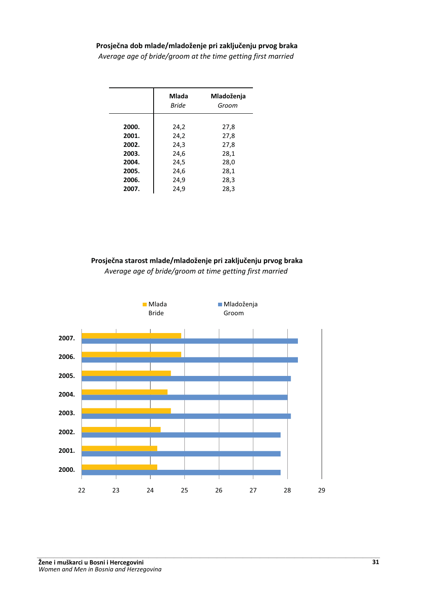#### Prosječna dob mlade/mladoženje pri zaključenju prvog braka

*Average age of bride/groom at the time getting first married*

|       | Mlada<br><b>Bride</b> | Mladoženja<br>Groom |
|-------|-----------------------|---------------------|
| 2000. | 24,2                  | 27,8                |
| 2001. | 24,2                  | 27,8                |
| 2002. | 24,3                  | 27,8                |
| 2003. | 24,6                  | 28,1                |
| 2004. | 24,5                  | 28,0                |
| 2005. | 24,6                  | 28,1                |
| 2006. | 24,9                  | 28,3                |
| 2007. | 24.9                  | 28,3                |

Prosječna starost mlade/mladoženje pri zaključenju prvog braka *Average age of bride/groom at time getting first married*

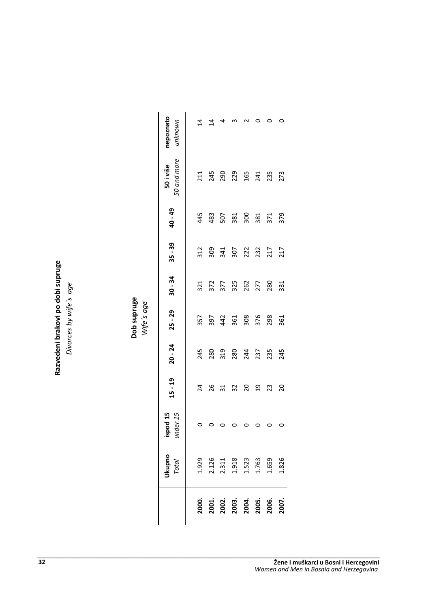**%%** Divorces by wife's age *Divorces by wife´s age* po dobi **brakovi** Razvedeni

Dob supruge *Wife´s age*

|                                           | Ukupno<br>Total                                                                      | ispod 15<br>under 15 | $15 - 19$      | $20 - 24$                | $25 - 29$                | $30 - 34$         | $35 - 39$                                                                                                                                                                                                                                                                          | 40 - 49                              | 50 and more<br>50 i više | nepoznato<br>unknown |
|-------------------------------------------|--------------------------------------------------------------------------------------|----------------------|----------------|--------------------------|--------------------------|-------------------|------------------------------------------------------------------------------------------------------------------------------------------------------------------------------------------------------------------------------------------------------------------------------------|--------------------------------------|--------------------------|----------------------|
|                                           |                                                                                      |                      |                |                          |                          |                   |                                                                                                                                                                                                                                                                                    |                                      |                          |                      |
|                                           |                                                                                      |                      | 24             | 245                      | 357                      |                   | 312                                                                                                                                                                                                                                                                                |                                      |                          | 4                    |
|                                           |                                                                                      |                      |                |                          |                          | 321<br>372<br>377 |                                                                                                                                                                                                                                                                                    |                                      | 21<br>245<br>290         | $\overline{4}$       |
|                                           |                                                                                      |                      |                |                          |                          |                   |                                                                                                                                                                                                                                                                                    |                                      |                          |                      |
| 2000.<br>2002.<br>2003.<br>2005.<br>2006. | $1.929$<br>$2.126$<br>$2.311$<br>$1.918$<br>$1.523$<br>$1.659$<br>$1.659$<br>$1.826$ |                      | 26<br>31<br>32 | 280<br>319<br>280<br>237 | 397<br>442<br>362<br>376 | 325<br>262<br>277 | $\begin{array}{c} 0.93 & 0.73 & 0.73 & 0.73 \\ 0.73 & 0.73 & 0.73 & 0.73 \\ 0.73 & 0.73 & 0.73 & 0.73 \\ 0.73 & 0.73 & 0.73 & 0.73 \\ 0.73 & 0.73 & 0.73 & 0.73 \\ 0.73 & 0.73 & 0.73 & 0.73 \\ 0.73 & 0.73 & 0.73 & 0.73 \\ 0.73 & 0.73 & 0.73 & 0.73 \\ 0.73 & 0.73 & 0.73 & 0.$ | 4 4 8 9 8 9 9 7 9<br>4 8 9 8 9 8 7 9 | 229<br>165<br>241<br>273 |                      |
|                                           |                                                                                      |                      | $\overline{c}$ |                          |                          |                   |                                                                                                                                                                                                                                                                                    |                                      |                          |                      |
|                                           |                                                                                      |                      | $\overline{a}$ |                          |                          |                   |                                                                                                                                                                                                                                                                                    |                                      |                          |                      |
|                                           |                                                                                      |                      | 23             | 23<br>245                | 298                      | 280               |                                                                                                                                                                                                                                                                                    |                                      |                          |                      |
| 2007.                                     |                                                                                      |                      | 20             |                          | 361                      | 331               |                                                                                                                                                                                                                                                                                    |                                      |                          |                      |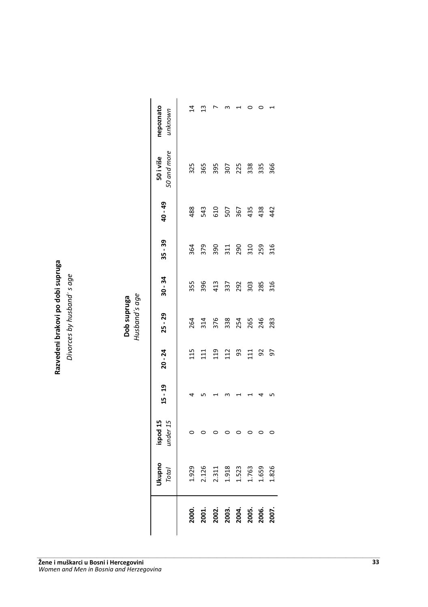| יים 1°                                      | age                                  |
|---------------------------------------------|--------------------------------------|
| t.                                          | Ì,                                   |
| ao<br>8<br>$\frac{8}{1}$<br>akov<br>azveder | $\ddot{\cdot}$<br>ivorces by husband |

|                |                                  |                      |           |           | Husband's age<br>Dob supruga |           |                                           |         |                          |                      |
|----------------|----------------------------------|----------------------|-----------|-----------|------------------------------|-----------|-------------------------------------------|---------|--------------------------|----------------------|
|                | <b>Ukupno</b><br><b>Total</b>    | under 15<br>ispod 15 | $15 - 19$ | $20 - 24$ | $25 - 29$                    | $30 - 34$ | $35 - 39$                                 | 40 - 49 | 50 and more<br>50 i više | nepoznato<br>unknown |
| 2000.          | 1.929                            |                      |           | 115       | 264                          | 355       | 364                                       | 488     | 325                      | $\overline{4}$       |
| 2001.          | 2.126                            |                      |           | 111       | 314                          | 396       | 379                                       | 543     | 365                      | ≅                    |
| 2002.          |                                  |                      |           | 119       | 376                          | 413       | 390                                       | 610     | 395                      |                      |
| 2003.          | 2.311<br>1.918<br>1.523<br>1.763 |                      |           | 112       | 338                          | 337       |                                           | 507     | 307                      |                      |
| 2004.          |                                  |                      |           | 93        | 254                          | 292       | $\begin{array}{c} 311 \\ 290 \end{array}$ | 367     | 225                      |                      |
| 2005.<br>2006. |                                  |                      |           | 111       | 265                          | 303       | 310                                       | 435     | 338                      |                      |
|                | 1.659<br>1.826                   |                      |           | 92        | 246                          | 285       | 259                                       | 438     | 335                      |                      |
| 2007.          |                                  |                      |           | 50        | 283                          | 316       | 316                                       | 42      | 366                      |                      |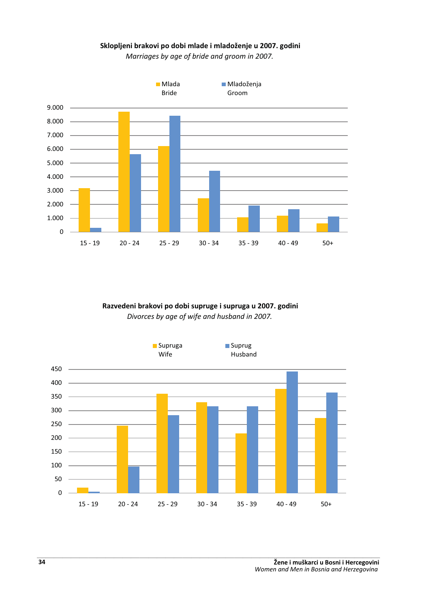#### Sklopljeni brakovi po dobi mlade i mladoženje u 2007. godini

*Marriages by age of bride and groom in 2007.*



#### Razvedeni brakovi po dobi supruge i supruga u 2007. godini *Divorces by age of wife and husband in 2007.*

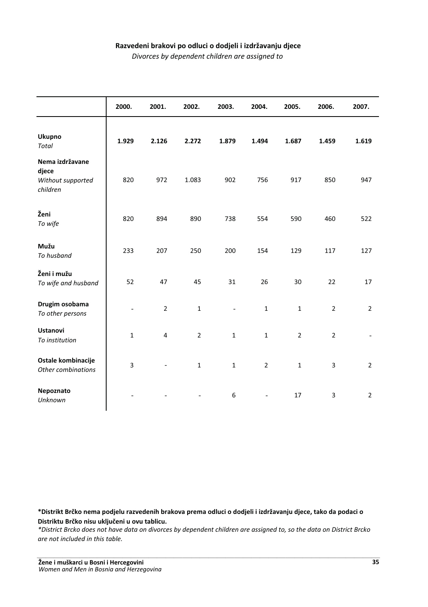#### Razvedeni brakovi po odluci o dodjeli i izdržavanju djece

*Divorces by dependent children are assigned to*

|                                                           | 2000.                    | 2001.          | 2002.          | 2003.        | 2004.          | 2005.          | 2006.          | 2007.          |
|-----------------------------------------------------------|--------------------------|----------------|----------------|--------------|----------------|----------------|----------------|----------------|
| Ukupno<br>Total                                           | 1.929                    | 2.126          | 2.272          | 1.879        | 1.494          | 1.687          | 1.459          | 1.619          |
| Nema izdržavane<br>djece<br>Without supported<br>children | 820                      | 972            | 1.083          | 902          | 756            | 917            | 850            | 947            |
| Ženi<br>To wife                                           | 820                      | 894            | 890            | 738          | 554            | 590            | 460            | 522            |
| Mužu<br>To husband                                        | 233                      | 207            | 250            | 200          | 154            | 129            | 117            | 127            |
| Ženi i mužu<br>To wife and husband                        | 52                       | 47             | 45             | 31           | 26             | 30             | 22             | 17             |
| Drugim osobama<br>To other persons                        | $\overline{\phantom{a}}$ | $\overline{2}$ | $\mathbf 1$    |              | $\mathbf{1}$   | $\mathbf{1}$   | $\overline{2}$ | $\overline{2}$ |
| <b>Ustanovi</b><br>To institution                         | $\mathbf{1}$             | $\overline{4}$ | $\overline{2}$ | $\mathbf{1}$ | $\mathbf{1}$   | $\overline{2}$ | $\overline{2}$ |                |
| Ostale kombinacije<br>Other combinations                  | 3                        |                | $\mathbf{1}$   | $\mathbf{1}$ | $\overline{2}$ | $\mathbf{1}$   | 3              | $\overline{2}$ |
| Nepoznato<br>Unknown                                      |                          |                |                | 6            |                | 17             | 3              | $\overline{2}$ |

 $*$ Distrikt Brčko nema podjelu razvedenih brakova prema odluci o dodjeli i izdržavanju djece, tako da podaci o Distriktu Brčko nisu uključeni u ovu tablicu.

*\*District Brcko does not have data on divorces by dependent children are assigned to, so the data on District Brcko*  are not included in this table.<br>
-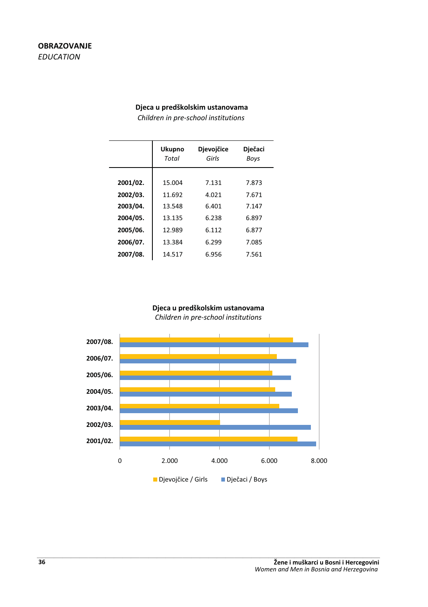#### Djeca u predškolskim ustanovama

*Children in pre-school institutions*

|                                  | <b>Ukupno</b><br>Total | <b>Djevojčice</b><br>Girls | <b>Dječaci</b><br>Boys  |
|----------------------------------|------------------------|----------------------------|-------------------------|
| 2001/02.                         | 15.004<br>11.692       | 7.131<br>4.021             | 7.873                   |
| 2002/03.<br>2003/04.<br>2004/05. | 13.548<br>13.135       | 6.401<br>6.238             | 7.671<br>7.147<br>6.897 |
| 2005/06.                         | 12.989                 | 6.112                      | 6.877                   |
| 2006/07.<br>2007/08.             | 13.384<br>14.517       | 6.299<br>6.956             | 7.085<br>7.561          |

#### Djeca u predškolskim ustanovama *Children in pre-school institutions*

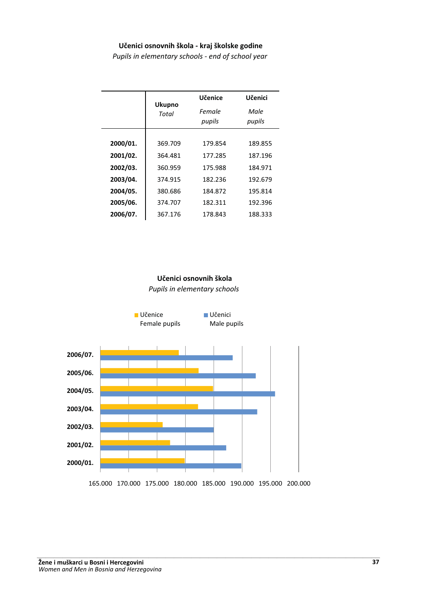#### Učenici osnovnih škola - kraj školske godine

*Pupils in elementary schools - end of school year*

|          | <b>Ukupno</b> | Učenice          | Učenici        |
|----------|---------------|------------------|----------------|
|          | Total         | Female<br>pupils | Male<br>pupils |
|          |               |                  |                |
| 2000/01. | 369.709       | 179.854          | 189.855        |
| 2001/02. | 364.481       | 177.285          | 187.196        |
| 2002/03. | 360.959       | 175.988          | 184.971        |
| 2003/04. | 374.915       | 182.236          | 192.679        |
| 2004/05. | 380.686       | 184.872          | 195.814        |
| 2005/06. | 374.707       | 182.311          | 192.396        |
| 2006/07. | 367.176       | 178.843          | 188.333        |

#### Učenici osnovnih škola

*Pupils in elementary schools*

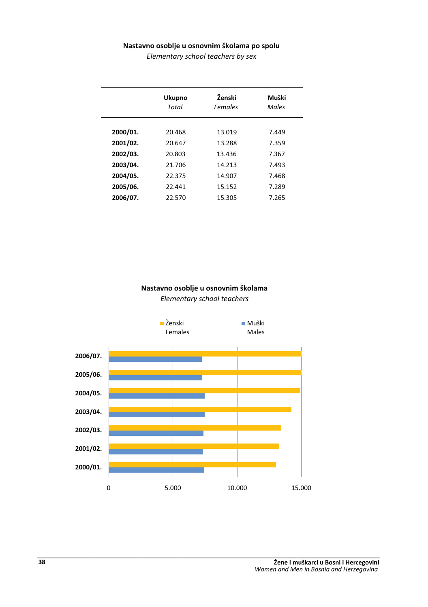#### Nastavno osoblje u osnovnim školama po spolu

*Elementary school teachers by sex*

|          | <b>Ukupno</b> | Ženski  | Muški |
|----------|---------------|---------|-------|
|          | Total         | Females | Males |
| 2000/01. | 20.468        | 13.019  | 7.449 |
| 2001/02. | 20.647        | 13.288  | 7.359 |
| 2002/03. | 20.803        | 13.436  | 7.367 |
| 2003/04. | 21.706        | 14.213  | 7.493 |
| 2004/05. | 22.375        | 14.907  | 7.468 |
| 2005/06. | 22.441        | 15.152  | 7.289 |
| 2006/07. | 22.570        | 15.305  | 7.265 |

# Nastavno osoblje u osnovnim školama

*Elementary school teachers* 

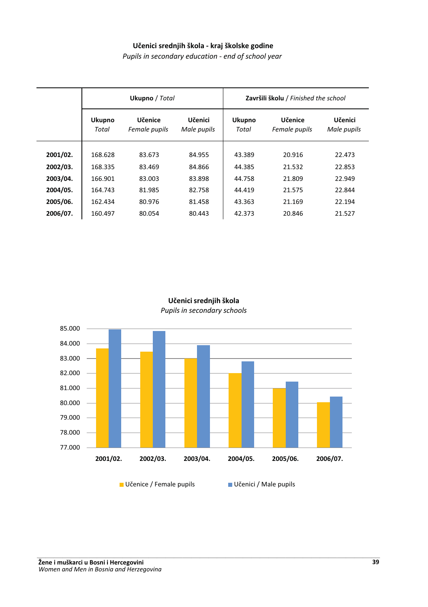### Učenici srednjih škola - kraj školske godine

*Pupils in secondary education - end of school year*

|          |                        | Ukupno / Total           |                        |                        | Završili školu / Finished the school |                        |  |
|----------|------------------------|--------------------------|------------------------|------------------------|--------------------------------------|------------------------|--|
|          | <b>Ukupno</b><br>Total | Učenice<br>Female pupils | Učenici<br>Male pupils | <b>Ukupno</b><br>Total | Učenice<br>Female pupils             | Učenici<br>Male pupils |  |
| 2001/02. | 168.628                | 83.673                   | 84.955                 | 43.389                 | 20.916                               | 22.473                 |  |
| 2002/03. | 168.335                | 83.469                   | 84.866                 | 44.385                 | 21.532                               | 22.853                 |  |
| 2003/04. | 166.901                | 83.003                   | 83.898                 | 44.758                 | 21.809                               | 22.949                 |  |
| 2004/05. | 164.743                | 81.985                   | 82.758                 | 44.419                 | 21.575                               | 22.844                 |  |
| 2005/06. | 162.434                | 80.976                   | 81.458                 | 43.363                 | 21.169                               | 22.194                 |  |
| 2006/07. | 160.497                | 80.054                   | 80.443                 | 42.373                 | 20.846                               | 21.527                 |  |

### Učenici srednjih škola *Pupils in secondary schools*

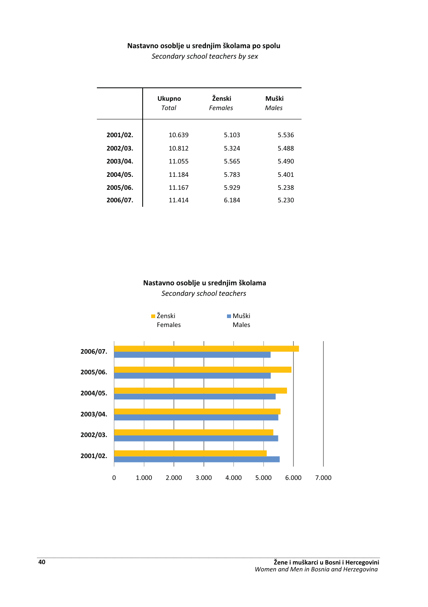#### Nastavno osoblje u srednjim školama po spolu

*Secondary school teachers by sex*

|          | <b>Ukupno</b><br>Total | Ženski<br>Females | Muški<br>Males |
|----------|------------------------|-------------------|----------------|
| 2001/02. | 10.639                 | 5.103             | 5.536          |
| 2002/03. | 10.812                 | 5.324             | 5.488          |
| 2003/04. | 11.055                 | 5.565             | 5.490          |
| 2004/05. | 11.184                 | 5.783             | 5.401          |
| 2005/06. | 11.167                 | 5.929             | 5.238          |
| 2006/07. | 11.414                 | 6.184             | 5.230          |

# Nastavno osoblje u srednjim školama

*Secondary school teachers* 

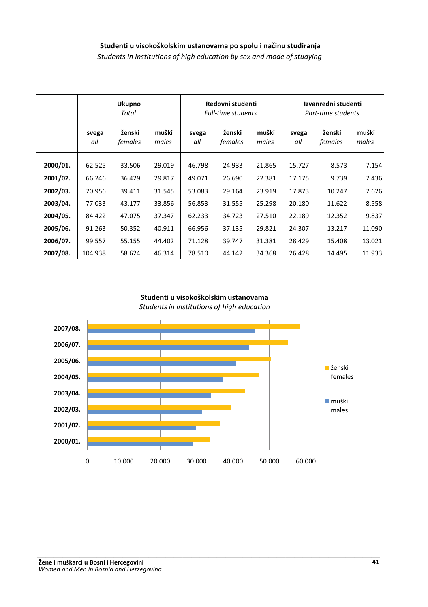### Studenti u visokoškolskim ustanovama po spolu i načinu studiranja

*Students in institutions of high education by sex and mode of studying*

|          |              | <b>Ukupno</b><br>Total |                |              | Redovni studenti<br><b>Full-time students</b> |                |              | Izvanredni studenti<br>Part-time students |                |
|----------|--------------|------------------------|----------------|--------------|-----------------------------------------------|----------------|--------------|-------------------------------------------|----------------|
|          | svega<br>all | ženski<br>females      | muški<br>males | svega<br>all | ženski<br>females                             | muški<br>males | svega<br>all | ženski<br>females                         | muški<br>males |
| 2000/01. | 62.525       | 33.506                 | 29.019         | 46.798       | 24.933                                        | 21.865         | 15.727       | 8.573                                     | 7.154          |
| 2001/02. | 66.246       | 36.429                 | 29.817         | 49.071       | 26.690                                        | 22.381         | 17.175       | 9.739                                     | 7.436          |
| 2002/03. | 70.956       | 39.411                 | 31.545         | 53.083       | 29.164                                        | 23.919         | 17.873       | 10.247                                    | 7.626          |
| 2003/04. | 77.033       | 43.177                 | 33.856         | 56.853       | 31.555                                        | 25.298         | 20.180       | 11.622                                    | 8.558          |
| 2004/05. | 84.422       | 47.075                 | 37.347         | 62.233       | 34.723                                        | 27.510         | 22.189       | 12.352                                    | 9.837          |
| 2005/06. | 91.263       | 50.352                 | 40.911         | 66.956       | 37.135                                        | 29.821         | 24.307       | 13.217                                    | 11.090         |
| 2006/07. | 99.557       | 55.155                 | 44.402         | 71.128       | 39.747                                        | 31.381         | 28.429       | 15.408                                    | 13.021         |
| 2007/08. | 104.938      | 58.624                 | 46.314         | 78.510       | 44.142                                        | 34.368         | 26.428       | 14.495                                    | 11.933         |

### Studenti u visokoškolskim ustanovama *Students in institutions of high education*

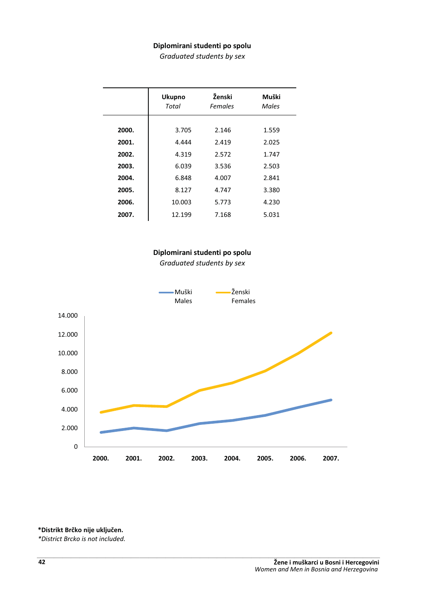### Diplomirani studenti po spolu

*Graduated students by sex*

|       | <b>Ukupno</b><br>Total | Ženski<br>Females | Muški<br>Males |
|-------|------------------------|-------------------|----------------|
| 2000. | 3.705                  | 2.146             | 1.559          |
| 2001. | 4.444                  | 2.419             | 2.025          |
| 2002. | 4.319                  | 2.572             | 1.747          |
| 2003. | 6.039                  | 3.536             | 2.503          |
| 2004. | 6.848                  | 4.007             | 2.841          |
| 2005. | 8.127                  | 4.747             | 3.380          |
| 2006. | 10.003                 | 5.773             | 4.230          |
| 2007. | 12.199                 | 7.168             | 5.031          |

### Diplomirani studenti po spolu

*Graduated students by sex*



 $*$ Distrikt Brčko nije uključen.

*\*District Brcko is not included.* -----------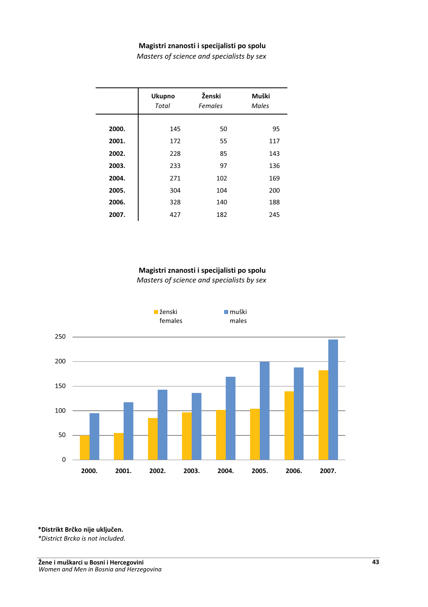### **Magistri znanosti i specijalisti po spolu**

*Masters of science and specialists by sex*

|       | <b>Ukupno</b><br><b>Total</b> | Ženski<br><b>Females</b> | Muški<br>Males |
|-------|-------------------------------|--------------------------|----------------|
| 2000. | 145                           | 50                       | 95             |
| 2001. | 172                           | 55                       | 117            |
| 2002. | 228                           | 85                       | 143            |
| 2003. | 233                           | 97                       | 136            |
| 2004. | 271                           | 102                      | 169            |
| 2005. | 304                           | 104                      | 200            |
| 2006. | 328                           | 140                      | 188            |
| 2007. | 427                           | 182                      | 245            |

#### **Magistri znanosti i specijalisti po spolu**

*Masters of science and specialists by sex*



 $*$ Distrikt Brčko nije uključen.

*\*District Brcko is not included.* -----------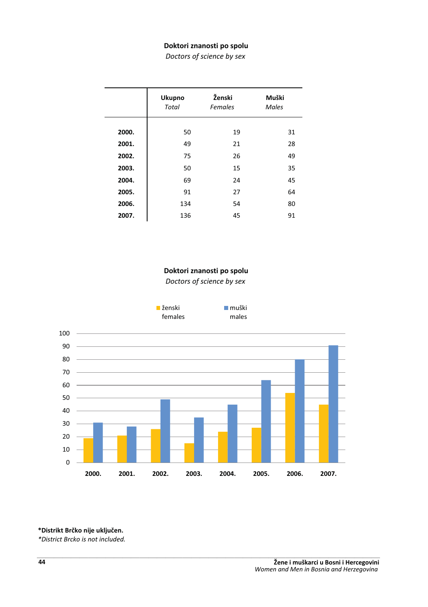### Doktori znanosti po spolu

*Doctors of science by sex*

|       | <b>Ukupno</b><br>Total | Ženski<br>Females | Muški<br>Males |
|-------|------------------------|-------------------|----------------|
| 2000. | 50                     | 19                | 31             |
| 2001. | 49                     | 21                | 28             |
| 2002. | 75                     | 26                | 49             |
| 2003. | 50                     | 15                | 35             |
| 2004. | 69                     | 24                | 45             |
| 2005. | 91                     | 27                | 64             |
| 2006. | 134                    | 54                | 80             |
| 2007. | 136                    | 45                | 91             |

### Doktori znanosti po spolu

*Doctors of science by sex*



 $*$ Distrikt Brčko nije uključen.

*\*District Brcko is not included.* ----------.<br>.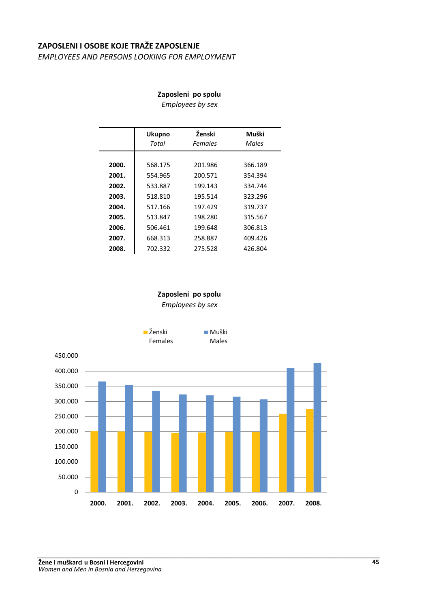# **ZAPOSLENI I OSOBE KOJE TRAŽE ZAPOSLENJE**

*EMPLOYEES AND PERSONS LOOKING FOR EMPLOYMENT*

### Zaposleni po spolu

*Employees by sex*

|       | <b>Ukupno</b><br>Total | Ženski<br>Females | Muški<br>Males |
|-------|------------------------|-------------------|----------------|
|       |                        |                   |                |
| 2000. | 568.175                | 201.986           | 366.189        |
| 2001. | 554.965                | 200.571           | 354.394        |
| 2002. | 533.887                | 199.143           | 334.744        |
| 2003. | 518.810                | 195.514           | 323.296        |
| 2004. | 517.166                | 197.429           | 319.737        |
| 2005. | 513.847                | 198.280           | 315.567        |
| 2006. | 506.461                | 199.648           | 306.813        |
| 2007. | 668.313                | 258.887           | 409.426        |
| 2008. | 702.332                | 275.528           | 426.804        |
|       |                        |                   |                |

# Zaposleni po spolu *Employees by sex*

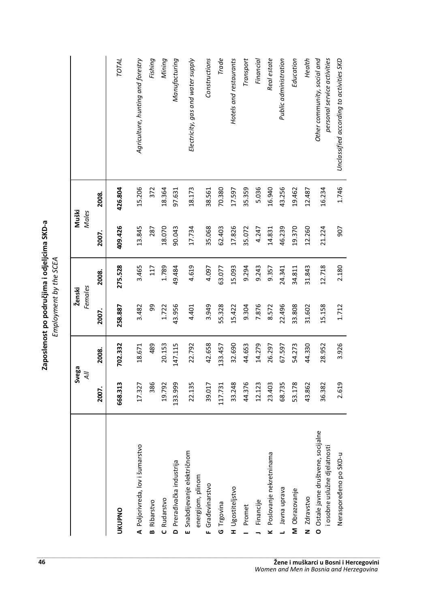|                                  | e SCE/                        |
|----------------------------------|-------------------------------|
| $\frac{1}{3}$<br>lenost po podri | ine<br>'<br>nplovment by<br>L |

|                                                                     |         | Svega   | Ženski  |         | Muški        |         |                                                            |
|---------------------------------------------------------------------|---------|---------|---------|---------|--------------|---------|------------------------------------------------------------|
|                                                                     | ₹       |         | Females |         | <b>Males</b> |         |                                                            |
|                                                                     | 2007.   | 2008.   | 2007.   | 2008.   | 2007.        | 2008.   |                                                            |
| <b>UKUPNO</b>                                                       | 668.313 | 702.332 | 258.887 | 275.528 | 409.426      | 426.804 | TOTAL                                                      |
| A Poljorivreda, lov i šumarstvo                                     | 17.327  | 18.671  | 3.482   | 3.465   | 13.845       | 15.206  | Agriculture, hunting and forestry                          |
| <b>B</b> Ribarstvo                                                  | 386     | 489     | 99      | 117     | 287          | 372     | Fishing                                                    |
| C Rudarstvo                                                         | 19.792  | 20.153  | 1.722   | 1.789   | 18.070       | 18.364  | Mining                                                     |
| D Preradivačka industrija                                           | 133.999 | 147.115 | 43.956  | 49.484  | 90.043       | 97.631  | Manufacturing                                              |
| E Snabdijevanje električnom<br>energijom, plinom                    | 22.135  | 22.792  | 4.401   | 4.619   | 17.734       | 18.173  | Electricity, gas and water supply                          |
| F Građevinarstvo                                                    | 39.017  | 42.658  | 3.949   | 4.097   | 35.068       | 38.561  | Constructions                                              |
| G Trgovina                                                          | 117.731 | 133.457 | 55.328  | 63.077  | 62.403       | 70.380  | Trade                                                      |
| H Ugostiteljstvo                                                    | 33.248  | 32.690  | 15.422  | 15.093  | 17.826       | 17.597  | Hotels and restaurants                                     |
| Promet                                                              | 44.376  | 44.653  | 9.304   | 9.294   | 35.072       | 35.359  | Transport                                                  |
| Financije                                                           | 12.123  | 14.279  | 7.876   | 9.243   | 4.247        | 5.036   | Financial                                                  |
| K Poslovanje nekretninama                                           | 23.403  | 26.297  | 8.572   | 9.357   | 14.831       | 16.940  | Real estate                                                |
| L Javna uprava                                                      | 68.735  | 67.597  | 22.496  | 24.341  | 46.239       | 43.256  | Public administration                                      |
| M Obrazovanje                                                       | 53.178  | 54.273  | 33.808  | 34.811  | 19.370       | 19.462  | Education                                                  |
| N Zdravstvo                                                         | 43.862  | 44.330  | 31.602  | 31.843  | 12.260       | 12.487  | Health                                                     |
| O Ostale javne društvene, socijalne<br>i osobne uslužne djelatnosti | 36.382  | 28.952  | 15.158  | 12.718  | 21.224       | 16.234  | Other community, social and<br>personal service activities |
| Nerasporedeno po SKD-u                                              | 2.619   | 3.926   | 1.712   | 2.180   | 505          | 1.746   | Unclassified according to activities SKD                   |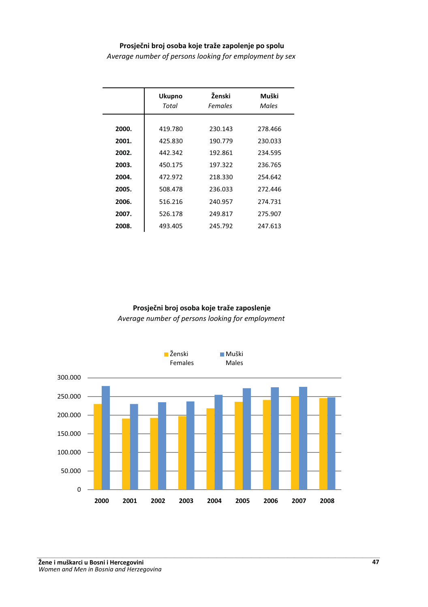### Prosječni broj osoba koje traže zapolenje po spolu

*Average number of persons looking for employment by sex*

|       | <b>Ukupno</b><br>Total | Ženski<br>Females | Muški<br>Males |
|-------|------------------------|-------------------|----------------|
| 2000. | 419.780                | 230.143           | 278.466        |
| 2001. | 425.830                | 190.779           | 230.033        |
| 2002. | 442.342                | 192.861           | 234.595        |
| 2003. | 450.175                | 197.322           | 236.765        |
| 2004. | 472.972                | 218.330           | 254.642        |
| 2005. | 508.478                | 236.033           | 272.446        |
| 2006. | 516.216                | 240.957           | 274.731        |
| 2007. | 526.178                | 249.817           | 275.907        |
| 2008. | 493.405                | 245.792           | 247.613        |

# Prosječni broj osoba koje traže zaposlenje *Average number of persons looking for employment*

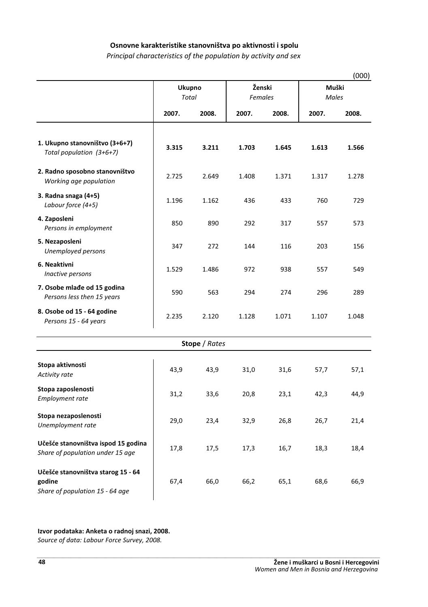### Osnovne karakteristike stanovništva po aktivnosti i spolu

*Principal characteristics of the population by activity and sex*

|                                                                                 |                        |                      |       |                   |       | (000)          |  |
|---------------------------------------------------------------------------------|------------------------|----------------------|-------|-------------------|-------|----------------|--|
|                                                                                 | <b>Ukupno</b><br>Total |                      |       | Ženski<br>Females |       | Muški<br>Males |  |
|                                                                                 | 2007.                  | 2008.                | 2007. | 2008.             | 2007. | 2008.          |  |
| 1. Ukupno stanovništvo (3+6+7)<br>Total population (3+6+7)                      | 3.315                  | 3.211                | 1.703 | 1.645             | 1.613 | 1.566          |  |
| 2. Radno sposobno stanovništvo<br>Working age population                        | 2.725                  | 2.649                | 1.408 | 1.371             | 1.317 | 1.278          |  |
| 3. Radna snaga (4+5)<br>Labour force (4+5)                                      | 1.196                  | 1.162                | 436   | 433               | 760   | 729            |  |
| 4. Zaposleni<br>Persons in employment                                           | 850                    | 890                  | 292   | 317               | 557   | 573            |  |
| 5. Nezaposleni<br>Unemployed persons                                            | 347                    | 272                  | 144   | 116               | 203   | 156            |  |
| 6. Neaktivni<br>Inactive persons                                                | 1.529                  | 1.486                | 972   | 938               | 557   | 549            |  |
| 7. Osobe mlađe od 15 godina<br>Persons less then 15 years                       | 590                    | 563                  | 294   | 274               | 296   | 289            |  |
| 8. Osobe od 15 - 64 godine<br>Persons 15 - 64 years                             | 2.235                  | 2.120                | 1.128 | 1.071             | 1.107 | 1.048          |  |
|                                                                                 |                        | <b>Stope</b> / Rates |       |                   |       |                |  |
| Stopa aktivnosti<br>Activity rate                                               | 43,9                   | 43,9                 | 31,0  | 31,6              | 57,7  | 57,1           |  |
| Stopa zaposlenosti<br><b>Employment rate</b>                                    | 31,2                   | 33,6                 | 20,8  | 23,1              | 42,3  | 44,9           |  |
| Stopa nezaposlenosti<br>Unemployment rate                                       | 29,0                   | 23,4                 | 32,9  | 26,8              | 26,7  | 21,4           |  |
| Učešće stanovništva ispod 15 godina<br>Share of population under 15 age         | 17,8                   | 17,5                 | 17,3  | 16,7              | 18,3  | 18,4           |  |
| Učešće stanovništva starog 15 - 64<br>godine<br>Share of population 15 - 64 age | 67,4                   | 66,0                 | 66,2  | 65,1              | 68,6  | 66,9           |  |

#### Izvor podataka: Anketa o radnoj snazi, 2008.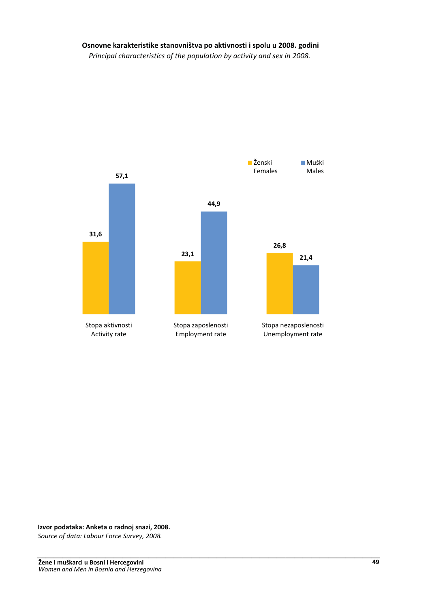# Osnovne karakteristike stanovništva po aktivnosti i spolu u 2008. godini

*Principal characteristics of the population by activity and sex in 2008.*



#### Izvor podataka: Anketa o radnoj snazi, 2008.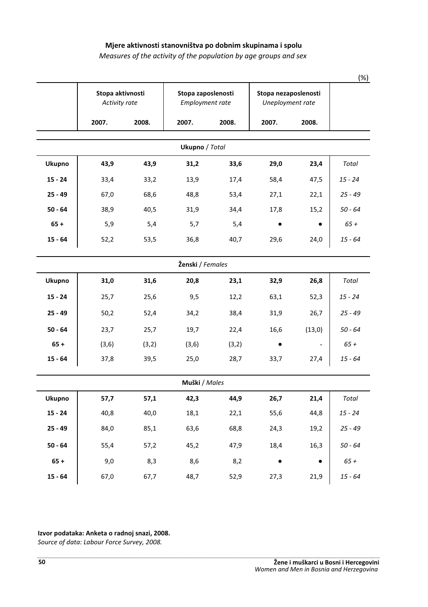### Mjere aktivnosti stanovništva po dobnim skupinama i spolu

# *Measures of the activity of the population by age groups and sex*

|                  | Activity rate | Stopa aktivnosti<br>Stopa zaposlenosti<br>Employment rate |                |       | Stopa nezaposlenosti<br>Uneployment rate |        |           |  |  |
|------------------|---------------|-----------------------------------------------------------|----------------|-------|------------------------------------------|--------|-----------|--|--|
|                  | 2007.         | 2008.                                                     | 2007.          | 2008. | 2007.                                    | 2008.  |           |  |  |
|                  |               |                                                           | Ukupno / Total |       |                                          |        |           |  |  |
| Ukupno           | 43,9          | 43,9                                                      | 31,2           | 33,6  | 29,0                                     | 23,4   | Total     |  |  |
| $15 - 24$        | 33,4          | 33,2                                                      | 13,9           | 17,4  | 58,4                                     | 47,5   | 15 - 24   |  |  |
| $25 - 49$        | 67,0          | 68,6                                                      | 48,8           | 53,4  | 27,1                                     | 22,1   | $25 - 49$ |  |  |
| $50 - 64$        | 38,9          | 40,5                                                      | 31,9           | 34,4  | 17,8                                     | 15,2   | $50 - 64$ |  |  |
| $65 +$           | 5,9           | 5,4                                                       | 5,7            | 5,4   |                                          |        | $65+$     |  |  |
| $15 - 64$        | 52,2          | 53,5                                                      | 36,8           | 40,7  | 29,6                                     | 24,0   | $15 - 64$ |  |  |
| Ženski / Females |               |                                                           |                |       |                                          |        |           |  |  |
| Ukupno           | 31,0          | 31,6                                                      | 20,8           | 23,1  | 32,9                                     | 26,8   | Total     |  |  |
| $15 - 24$        | 25,7          | 25,6                                                      | 9,5            | 12,2  | 63,1                                     | 52,3   | 15 - 24   |  |  |
| $25 - 49$        | 50,2          | 52,4                                                      | 34,2           | 38,4  | 31,9                                     | 26,7   | $25 - 49$ |  |  |
| $50 - 64$        | 23,7          | 25,7                                                      | 19,7           | 22,4  | 16,6                                     | (13,0) | $50 - 64$ |  |  |
| $65 +$           | (3, 6)        | (3,2)                                                     | (3, 6)         | (3,2) |                                          |        | $65+$     |  |  |
| $15 - 64$        | 37,8          | 39,5                                                      | 25,0           | 28,7  | 33,7                                     | 27,4   | $15 - 64$ |  |  |
|                  |               |                                                           | Muški / Males  |       |                                          |        |           |  |  |
| <b>Ukupno</b>    | 57,7          | 57,1                                                      | 42,3           | 44,9  | 26,7                                     | 21,4   | Total     |  |  |
| $15 - 24$        | 40,8          | 40,0                                                      | 18,1           | 22,1  | 55,6                                     | 44,8   | 15 - 24   |  |  |
| $25 - 49$        | 84,0          | 85,1                                                      | 63,6           | 68,8  | 24,3                                     | 19,2   | 25 - 49   |  |  |
| $50 - 64$        | 55,4          | 57,2                                                      | 45,2           | 47,9  | 18,4                                     | 16,3   | $50 - 64$ |  |  |
| $65 +$           | 9,0           | 8,3                                                       | 8,6            | 8,2   |                                          |        | $65+$     |  |  |
| $15 - 64$        | 67,0          | 67,7                                                      | 48,7           | 52,9  | 27,3                                     | 21,9   | $15 - 64$ |  |  |

Izvor podataka: Anketa o radnoj snazi, 2008.

Source of data: Labour Force Survey, 2008.

(%)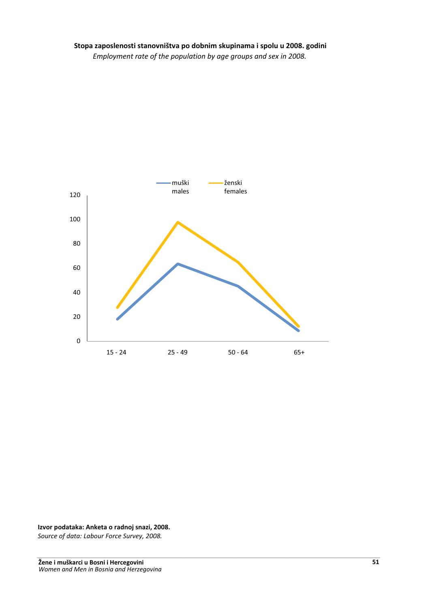

Izvor podataka: Anketa o radnoj snazi, 2008.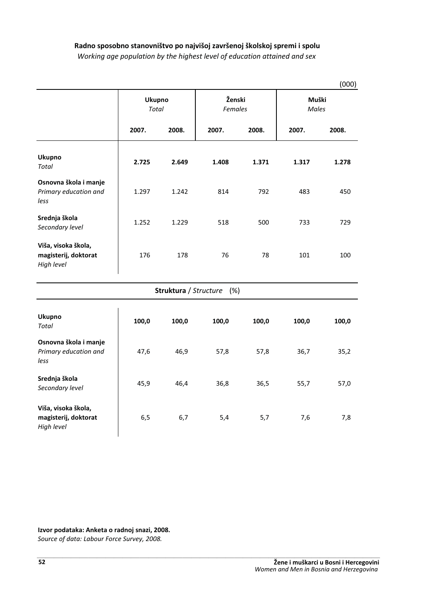# Radno sposobno stanovništvo po najvišoj završenoj školskoj spremi i spolu

*Working age population by the highest level of education attained and sex*

|                                                           |                        |                       |                          |       |                | (000) |
|-----------------------------------------------------------|------------------------|-----------------------|--------------------------|-------|----------------|-------|
|                                                           | <b>Ukupno</b><br>Total |                       | Ženski<br><b>Females</b> |       | Muški<br>Males |       |
|                                                           | 2007.                  | 2008.                 | 2007.                    | 2008. | 2007.          | 2008. |
| Ukupno<br>Total                                           | 2.725                  | 2.649                 | 1.408                    | 1.371 | 1.317          | 1.278 |
| Osnovna škola i manje<br>Primary education and<br>less    | 1.297                  | 1.242                 | 814                      | 792   | 483            | 450   |
| Srednja škola<br>Secondary level                          | 1.252                  | 1.229                 | 518                      | 500   | 733            | 729   |
| Viša, visoka škola,<br>magisterij, doktorat<br>High level | 176                    | 178                   | 76                       | 78    | 101            | 100   |
|                                                           |                        | Struktura / Structure | (%)                      |       |                |       |
| Ukupno<br><b>Total</b>                                    | 100,0                  | 100,0                 | 100,0                    | 100,0 | 100,0          | 100,0 |
| Osnovna škola i manje<br>Primary education and<br>less    | 47,6                   | 46,9                  | 57,8                     | 57,8  | 36,7           | 35,2  |
| Srednja škola<br>Secondary level                          | 45,9                   | 46,4                  | 36,8                     | 36,5  | 55,7           | 57,0  |
| Viša, visoka škola,                                       |                        |                       |                          |       |                |       |

6,5 6,7 5,4 5,7 7,6 7,8

Izvor podataka: Anketa o radnoj snazi, 2008.

Source of data: Labour Force Survey, 2008.<br>-.<br>.

magisterij, doktorat

*High level*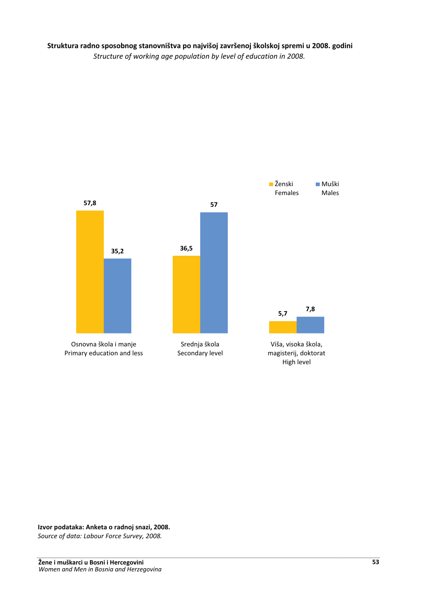Struktura radno sposobnog stanovništva po najvišoj završenoj školskoj spremi u 2008. godini *Structure of working age population by level of education in 2008.*



Izvor podataka: Anketa o radnoj snazi, 2008.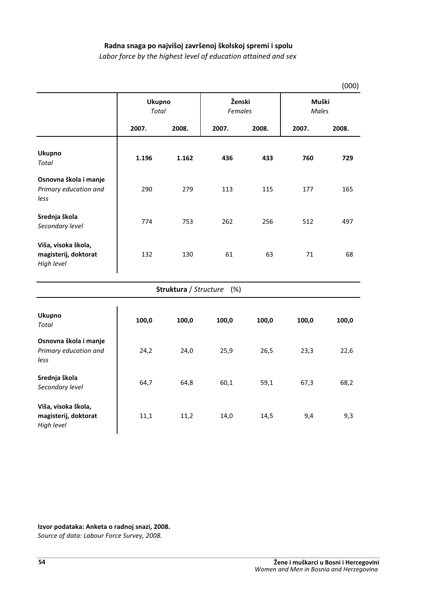# Radna snaga po najvišoj završenoj školskoj spremi i spolu

*Labor force by the highest level of education attained and sex*

|                                                           |                        |       |                           |       |                       | (000) |
|-----------------------------------------------------------|------------------------|-------|---------------------------|-------|-----------------------|-------|
|                                                           | Ukupno<br><b>Total</b> |       | Ženski<br><b>Females</b>  |       | Muški<br><b>Males</b> |       |
|                                                           | 2007.                  | 2008. | 2007.                     | 2008. | 2007.                 | 2008. |
| Ukupno<br>Total                                           | 1.196                  | 1.162 | 436                       | 433   | 760                   | 729   |
| Osnovna škola i manje<br>Primary education and<br>less    | 290                    | 279   | 113                       | 115   | 177                   | 165   |
| Srednja škola<br>Secondary level                          | 774                    | 753   | 262                       | 256   | 512                   | 497   |
| Viša, visoka škola,<br>magisterij, doktorat<br>High level | 132                    | 130   | 61                        | 63    | 71                    | 68    |
|                                                           |                        |       | Struktura / Structure (%) |       |                       |       |
| Ukupno<br>Total                                           | 100,0                  | 100,0 | 100,0                     | 100,0 | 100,0                 | 100,0 |
| Osnovna škola i manje<br>Primary education and<br>less    | 24,2                   | 24,0  | 25,9                      | 26,5  | 23,3                  | 22,6  |
| Srednja škola<br>Secondary level                          | 64,7                   | 64,8  | 60,1                      | 59,1  | 67,3                  | 68,2  |
| Viša, visoka škola,<br>magisterij, doktorat<br>High level | 11,1                   | 11,2  | 14,0                      | 14,5  | 9,4                   | 9,3   |

Izvor podataka: Anketa o radnoj snazi, 2008.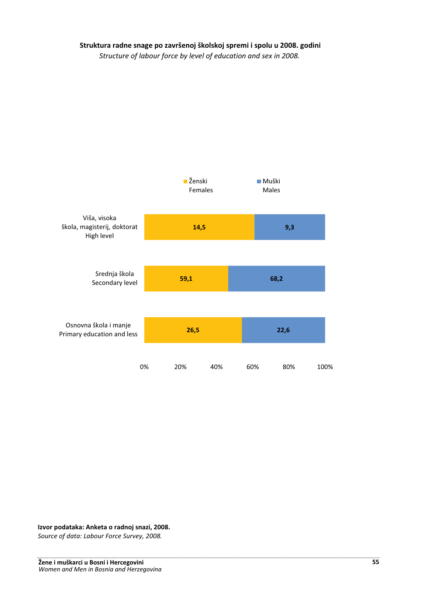# Struktura radne snage po završenoj školskoj spremi i spolu u 2008. godini

*Structure of labour force by level of education and sex in 2008.*



Izvor podataka: Anketa o radnoj snazi, 2008.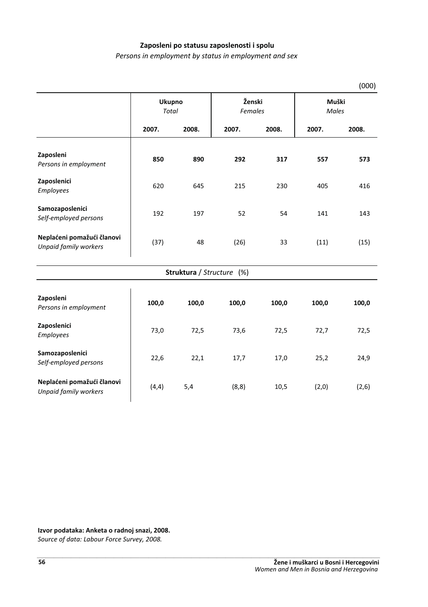### Zaposleni po statusu zaposlenosti i spolu

*Persons in employment by status in employment and sex*

|                                                     |                               |       |                           |       |                       | (000) |
|-----------------------------------------------------|-------------------------------|-------|---------------------------|-------|-----------------------|-------|
|                                                     | <b>Ukupno</b><br><b>Total</b> |       | Ženski<br><b>Females</b>  |       | Muški<br><b>Males</b> |       |
|                                                     | 2007.                         | 2008. | 2007.                     | 2008. | 2007.                 | 2008. |
| Zaposleni<br>Persons in employment                  | 850                           | 890   | 292                       | 317   | 557                   | 573   |
| Zaposlenici<br>Employees                            | 620                           | 645   | 215                       | 230   | 405                   | 416   |
| Samozaposlenici<br>Self-employed persons            | 192                           | 197   | 52                        | 54    | 141                   | 143   |
| Neplaćeni pomažući članovi<br>Unpaid family workers | (37)                          | 48    | (26)                      | 33    | (11)                  | (15)  |
|                                                     |                               |       | Struktura / Structure (%) |       |                       |       |
| Zaposleni<br>Persons in employment                  | 100,0                         | 100,0 | 100,0                     | 100,0 | 100,0                 | 100,0 |
| Zaposlenici<br><b>Employees</b>                     | 73,0                          | 72,5  | 73,6                      | 72,5  | 72,7                  | 72,5  |
| Samozaposlenici<br>Self-employed persons            | 22,6                          | 22,1  | 17,7                      | 17,0  | 25,2                  | 24,9  |
| Neplaćeni pomažući članovi<br>Unpaid family workers | (4, 4)                        | 5,4   | (8, 8)                    | 10,5  | (2,0)                 | (2,6) |

Izvor podataka: Anketa o radnoj snazi, 2008.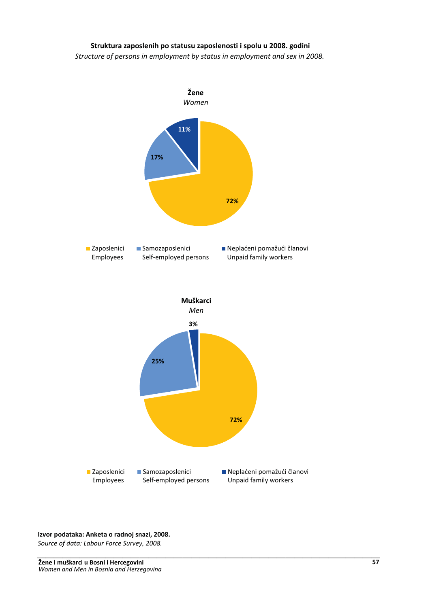# Struktura zaposlenih po statusu zaposlenosti i spolu u 2008. godini

*Structure of persons in employment by status in employment and sex in 2008.*



# Izvor podataka: Anketa o radnoj snazi, 2008. Source of data: Labour Force Survey, 2008.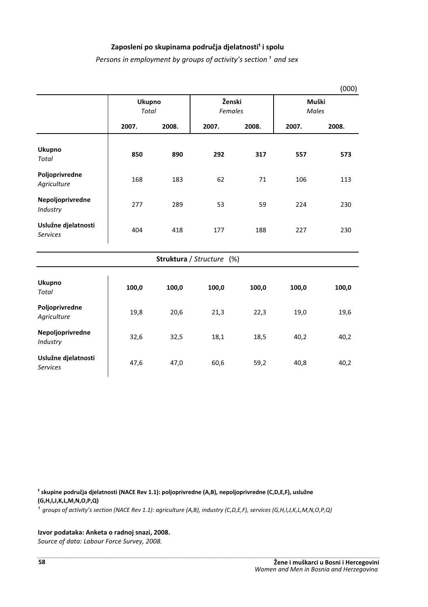# Zaposleni po skupinama područja djelatnosti<sup>1</sup> i spolu

*Persons in employment by groups of activity's section*<sup>1</sup> and sex

|                                        |                        |       |                           |       |                       | (000) |  |
|----------------------------------------|------------------------|-------|---------------------------|-------|-----------------------|-------|--|
|                                        | Ukupno<br><b>Total</b> |       | Ženski<br>Females         |       | Muški<br><b>Males</b> |       |  |
|                                        | 2007.                  | 2008. | 2007.                     | 2008. | 2007.                 | 2008. |  |
| <b>Ukupno</b><br><b>Total</b>          | 850                    | 890   | 292                       | 317   | 557                   | 573   |  |
| Poljoprivredne<br>Agriculture          | 168                    | 183   | 62                        | 71    | 106                   | 113   |  |
| Nepoljoprivredne<br>Industry           | 277                    | 289   | 53                        | 59    | 224                   | 230   |  |
| Uslužne djelatnosti<br><b>Services</b> | 404                    | 418   | 177                       | 188   | 227                   | 230   |  |
|                                        |                        |       | Struktura / Structure (%) |       |                       |       |  |
| <b>Ukupno</b><br>Total                 | 100,0                  | 100,0 | 100,0                     | 100,0 | 100,0                 | 100,0 |  |
| Poljoprivredne<br>Agriculture          | 19,8                   | 20,6  | 21,3                      | 22,3  | 19,0                  | 19,6  |  |
| Nepoljoprivredne<br>Industry           | 32,6                   | 32,5  | 18,1                      | 18,5  | 40,2                  | 40,2  |  |
| Uslužne djelatnosti<br><b>Services</b> | 47,6                   | 47,0  | 60,6                      | 59,2  | 40,8                  | 40,2  |  |

<sup>1</sup> skupine područja djelatnosti (NACE Rev 1.1): poljoprivredne (A,B), nepoljoprivredne (C,D,E,F), uslužne (G,H,I,J,K,L,M,N,O,P,Q)

*¹ groups of activity's section (NACE Rev 1.1): agriculture (A,B), industry (C,D,E,F), services (G,H,I,J,K,L,M,N,O,P,Q)*

#### Izvor podataka: Anketa o radnoj snazi, 2008.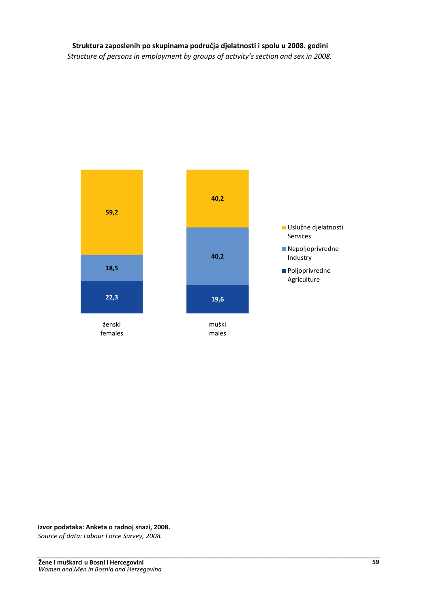# Struktura zaposlenih po skupinama područja djelatnosti i spolu u 2008. godini

*Structure of persons in employment by groups of activity's section and sex in 2008.*



Izvor podataka: Anketa o radnoj snazi, 2008.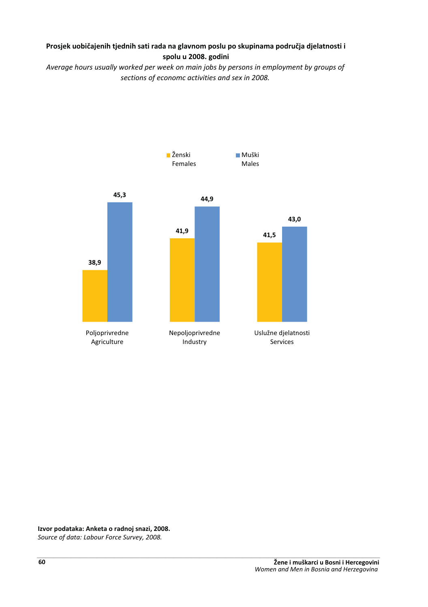# Prosjek uobičajenih tjednih sati rada na glavnom poslu po skupinama područja djelatnosti i spolu u 2008. godini

*Average hours usually worked per week on main jobs by persons in employment by groups of sections of economc activities and sex in 2008.* 



Izvor podataka: Anketa o radnoj snazi, 2008.

*Source of data: Labour Force Survey, 2008.* --- $\frac{1}{2}$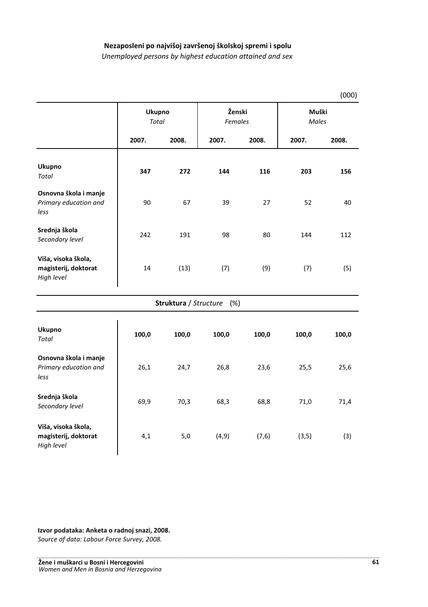### Nezaposleni po najvišoj završenoj školskoj spremi i spolu

*Unemployed persons by highest education attained and sex* 

|                                                           |                               |                       |                   |        |                | (000) |
|-----------------------------------------------------------|-------------------------------|-----------------------|-------------------|--------|----------------|-------|
|                                                           | <b>Ukupno</b><br><b>Total</b> |                       | Ženski<br>Females |        | Muški<br>Males |       |
|                                                           | 2007.                         | 2008.                 | 2007.             | 2008.  | 2007.          | 2008. |
| Ukupno<br><b>Total</b>                                    | 347                           | 272                   | 144               | 116    | 203            | 156   |
| Osnovna škola i manje<br>Primary education and<br>less    | 90                            | 67                    | 39                | 27     | 52             | 40    |
| Srednja škola<br>Secondary level                          | 242                           | 191                   | 98                | 80     | 144            | 112   |
| Viša, visoka škola,<br>magisterij, doktorat<br>High level | 14                            | (13)                  | (7)               | (9)    | (7)            | (5)   |
|                                                           |                               | Struktura / Structure | (%)               |        |                |       |
| <b>Ukupno</b><br><b>Total</b>                             | 100,0                         | 100,0                 | 100,0             | 100,0  | 100,0          | 100,0 |
| Osnovna škola i manje<br>Primary education and<br>less    | 26,1                          | 24,7                  | 26,8              | 23,6   | 25,5           | 25,6  |
| Srednja škola<br>Secondary level                          | 69,9                          | 70,3                  | 68,3              | 68,8   | 71,0           | 71,4  |
| Viša, visoka škola,<br>magisterij, doktorat<br>High level | 4,1                           | 5,0                   | (4, 9)            | (7, 6) | (3, 5)         | (3)   |

Izvor podataka: Anketa o radnoj snazi, 2008.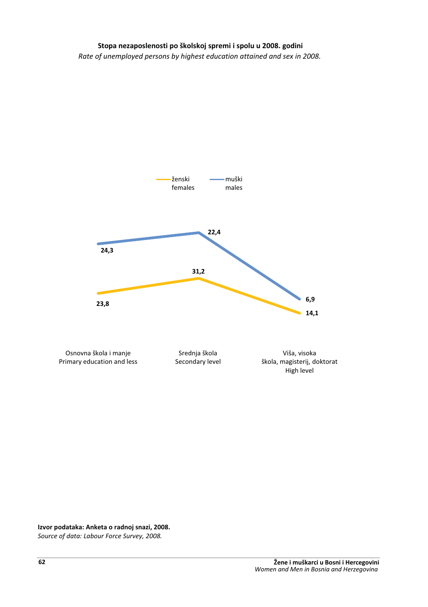### Stopa nezaposlenosti po školskoj spremi i spolu u 2008. godini

*Rate of unemployed persons by highest education attained and sex in 2008.*



Izvor podataka: Anketa o radnoj snazi, 2008.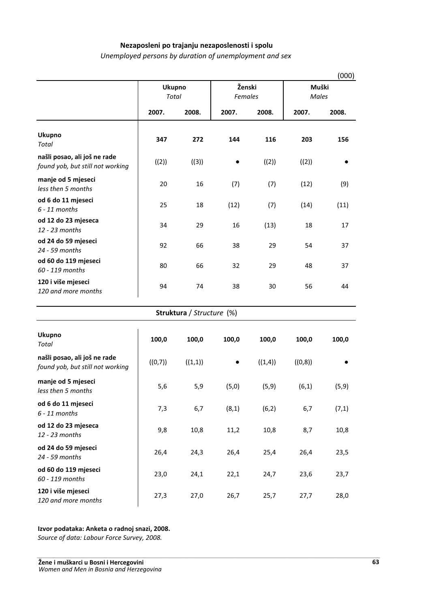### Nezaposleni po trajanju nezaposlenosti i spolu

*Unemployed persons by duration of unemployment and sex*

|                                                                  |                 |                           |                   |         |                       | (000) |
|------------------------------------------------------------------|-----------------|---------------------------|-------------------|---------|-----------------------|-------|
|                                                                  | Ukupno<br>Total |                           | Ženski<br>Females |         | Muški<br><b>Males</b> |       |
|                                                                  | 2007.           | 2008.                     | 2007.             | 2008.   | 2007.                 | 2008. |
| Ukupno<br>Total                                                  | 347             | 272                       | 144               | 116     | 203                   | 156   |
| našli posao, ali još ne rade<br>found yob, but still not working | ((2))           | ((3))                     |                   | ((2))   | ((2))                 |       |
| manje od 5 mjeseci<br>less then 5 months                         | 20              | 16                        | (7)               | (7)     | (12)                  | (9)   |
| od 6 do 11 mjeseci<br>$6 - 11$ months                            | 25              | 18                        | (12)              | (7)     | (14)                  | (11)  |
| od 12 do 23 mjeseca<br>12 - 23 months                            | 34              | 29                        | 16                | (13)    | 18                    | 17    |
| od 24 do 59 mjeseci<br>24 - 59 months                            | 92              | 66                        | 38                | 29      | 54                    | 37    |
| od 60 do 119 mjeseci<br>60 - 119 months                          | 80              | 66                        | 32                | 29      | 48                    | 37    |
| 120 i više mjeseci<br>120 and more months                        | 94              | 74                        | 38                | 30      | 56                    | 44    |
|                                                                  |                 | Struktura / Structure (%) |                   |         |                       |       |
| <b>Ukupno</b><br>Total                                           | 100,0           | 100,0                     | 100,0             | 100,0   | 100,0                 | 100,0 |
| našli posao, ali još ne rade<br>found yob, but still not working | ((0,7))         | ((1,1))                   |                   | ((1,4)) | ((0,8))               |       |
| manje od 5 mjeseci<br>less then 5 months                         | 5,6             | 5,9                       | (5,0)             | (5, 9)  | (6,1)                 | (5,9) |
| od 6 do 11 mjeseci<br>$6 - 11$ months                            | 7,3             | 6,7                       | (8,1)             | (6,2)   | 6,7                   | (7,1) |
| od 12 do 23 mjeseca<br>12 - 23 months                            | 9,8             | 10,8                      | 11,2              | 10,8    | 8,7                   | 10,8  |
| od 24 do 59 mjeseci<br>24 - 59 months                            | 26,4            | 24,3                      | 26,4              | 25,4    | 26,4                  | 23,5  |
| od 60 do 119 mjeseci<br>60 - 119 months                          | 23,0            | 24,1                      | 22,1              | 24,7    | 23,6                  | 23,7  |
| 120 i više mjeseci<br>120 and more months                        | 27,3            | 27,0                      | 26,7              | 25,7    | 27,7                  | 28,0  |

#### Izvor podataka: Anketa o radnoj snazi, 2008.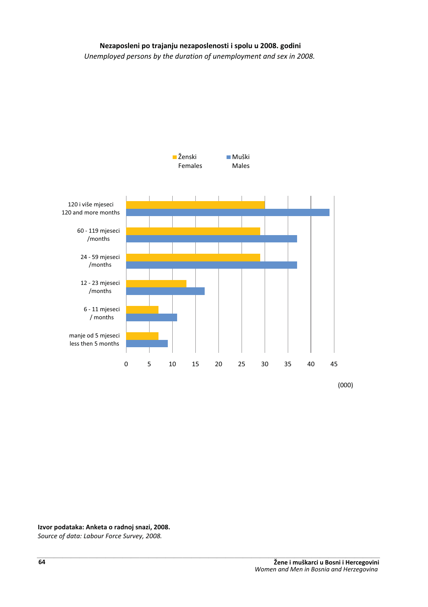# Nezaposleni po trajanju nezaposlenosti i spolu u 2008. godini

*Unemployed persons by the duration of unemployment and sex in 2008.*



(000)

Izvor podataka: Anketa o radnoj snazi, 2008.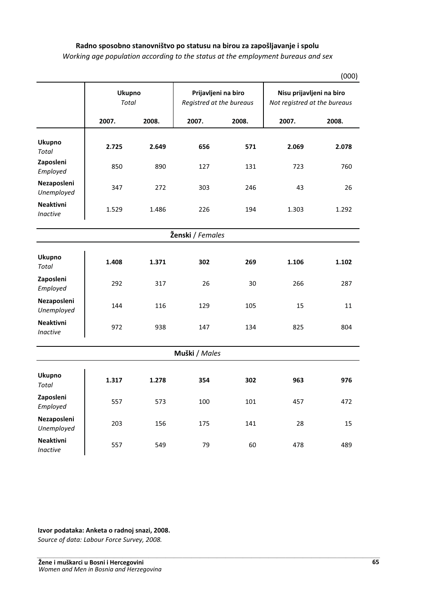### Radno sposobno stanovništvo po statusu na birou za zapošljavanje i spolu

*Working age population according to the status at the employment bureaus and sex*

|                                     |       | <b>Ukupno</b><br><b>Total</b> |               | Prijavljeni na biro<br>Registred at the bureaus |       | Nisu prijavljeni na biro<br>Not registred at the bureaus |  |
|-------------------------------------|-------|-------------------------------|---------------|-------------------------------------------------|-------|----------------------------------------------------------|--|
|                                     | 2007. | 2008.                         | 2007.         | 2008.                                           | 2007. | 2008.                                                    |  |
| <b>Ukupno</b><br><b>Total</b>       | 2.725 | 2.649                         | 656           | 571                                             | 2.069 | 2.078                                                    |  |
| Zaposleni<br>Employed               | 850   | 890                           | 127           | 131                                             | 723   | 760                                                      |  |
| Nezaposleni<br>Unemployed           | 347   | 272                           | 303           | 246                                             | 43    | 26                                                       |  |
| <b>Neaktivni</b><br><b>Inactive</b> | 1.529 | 1.486                         | 226           | 194                                             | 1.303 | 1.292                                                    |  |
| Ženski / Females                    |       |                               |               |                                                 |       |                                                          |  |
| <b>Ukupno</b><br><b>Total</b>       | 1.408 | 1.371                         | 302           | 269                                             | 1.106 | 1.102                                                    |  |
| Zaposleni<br>Employed               | 292   | 317                           | 26            | 30                                              | 266   | 287                                                      |  |
| Nezaposleni<br>Unemployed           | 144   | 116                           | 129           | 105                                             | 15    | 11                                                       |  |
| <b>Neaktivni</b><br>Inactive        | 972   | 938                           | 147           | 134                                             | 825   | 804                                                      |  |
|                                     |       |                               | Muški / Males |                                                 |       |                                                          |  |
| Ukupno<br><b>Total</b>              | 1.317 | 1.278                         | 354           | 302                                             | 963   | 976                                                      |  |
| Zaposleni<br>Employed               | 557   | 573                           | 100           | 101                                             | 457   | 472                                                      |  |
| Nezaposleni<br>Unemployed           | 203   | 156                           | 175           | 141                                             | 28    | 15                                                       |  |
| <b>Neaktivni</b><br><b>Inactive</b> | 557   | 549                           | 79            | 60                                              | 478   | 489                                                      |  |

(000)

Izvor podataka: Anketa o radnoj snazi, 2008.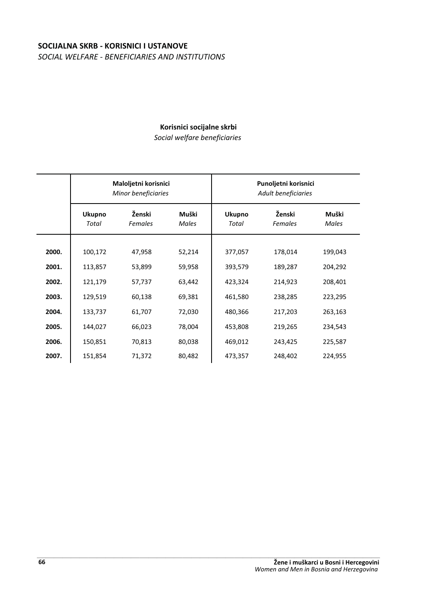# **SOCIJALNA SKRB - KORISNICI I USTANOVE** *SOCIAL WELFARE - BENEFICIARIES AND INSTITUTIONS*

# **Korisnici socijalne skrbi**

*Social welfare beneficiaries*

|       |                        | Maloljetni korisnici<br>Minor beneficiaries |                |                        | Punoljetni korisnici<br>Adult beneficiaries |                |
|-------|------------------------|---------------------------------------------|----------------|------------------------|---------------------------------------------|----------------|
|       | <b>Ukupno</b><br>Total | Ženski<br>Females                           | Muški<br>Males | <b>Ukupno</b><br>Total | Ženski<br>Females                           | Muški<br>Males |
|       |                        |                                             |                |                        |                                             |                |
| 2000. | 100,172                | 47,958                                      | 52,214         | 377,057                | 178,014                                     | 199,043        |
| 2001. | 113,857                | 53,899                                      | 59,958         | 393,579                | 189,287                                     | 204,292        |
| 2002. | 121,179                | 57,737                                      | 63,442         | 423,324                | 214,923                                     | 208,401        |
| 2003. | 129,519                | 60,138                                      | 69,381         | 461,580                | 238,285                                     | 223,295        |
| 2004. | 133,737                | 61,707                                      | 72,030         | 480,366                | 217,203                                     | 263,163        |
| 2005. | 144,027                | 66,023                                      | 78,004         | 453,808                | 219,265                                     | 234,543        |
| 2006. | 150,851                | 70,813                                      | 80,038         | 469,012                | 243,425                                     | 225,587        |
| 2007. | 151,854                | 71,372                                      | 80,482         | 473,357                | 248,402                                     | 224,955        |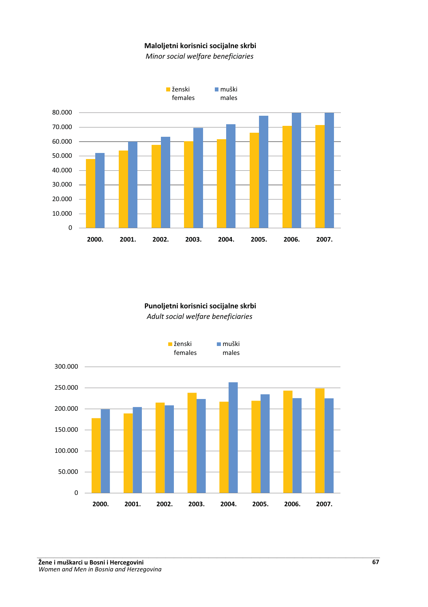### **Maloljetni korisnici socijalne skrbi**

*Minor social welfare beneficiaries*



# Punoljetni korisnici socijalne skrbi *Adult social welfare beneficiaries*

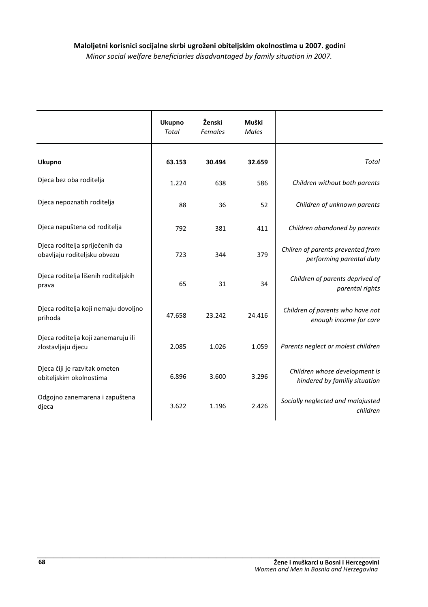|                                                                | <b>Ukupno</b><br><b>Total</b> | Ženski<br><b>Females</b> | Muški<br><b>Males</b> |                                                                |
|----------------------------------------------------------------|-------------------------------|--------------------------|-----------------------|----------------------------------------------------------------|
| <b>Ukupno</b>                                                  | 63.153                        | 30.494                   | 32.659                | Total                                                          |
| Djeca bez oba roditelja                                        | 1.224                         | 638                      | 586                   | Children without both parents                                  |
| Djeca nepoznatih roditelja                                     | 88                            | 36                       | 52                    | Children of unknown parents                                    |
| Djeca napuštena od roditelja                                   | 792                           | 381                      | 411                   | Children abandoned by parents                                  |
| Djeca roditelja spriječenih da<br>obavljaju roditeljsku obvezu | 723                           | 344                      | 379                   | Chilren of parents prevented from<br>performing parental duty  |
| Djeca roditelja lišenih roditeljskih<br>prava                  | 65                            | 31                       | 34                    | Children of parents deprived of<br>parental rights             |
| Djeca roditelja koji nemaju dovoljno<br>prihoda                | 47.658                        | 23.242                   | 24.416                | Children of parents who have not<br>enough income for care     |
| Djeca roditelja koji zanemaruju ili<br>zlostavljaju djecu      | 2.085                         | 1.026                    | 1.059                 | Parents neglect or molest children                             |
| Djeca čiji je razvitak ometen<br>obiteljskim okolnostima       | 6.896                         | 3.600                    | 3.296                 | Children whose development is<br>hindered by familiy situation |
| Odgojno zanemarena i zapuštena<br>djeca                        | 3.622                         | 1.196                    | 2.426                 | Socially neglected and malajusted<br>children                  |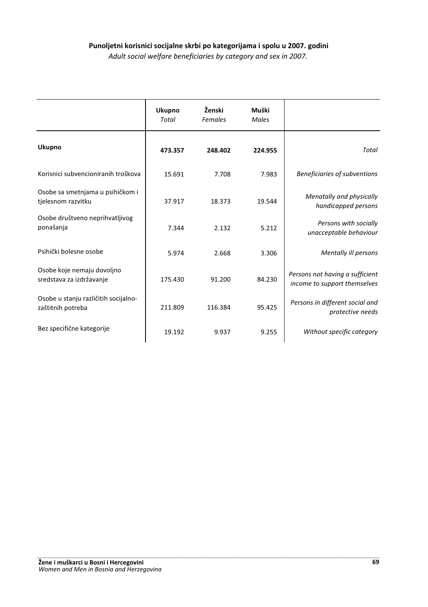# Punoljetni korisnici socijalne skrbi po kategorijama i spolu u 2007. godini

*Adult social welfare beneficiaries by category and sex in 2007.*

|                                                           | <b>Ukupno</b><br>Total | Ženski<br>Females | Muški<br>Males |                                                                 |
|-----------------------------------------------------------|------------------------|-------------------|----------------|-----------------------------------------------------------------|
| <b>Ukupno</b>                                             | 473.357                | 248.402           | 224.955        | Total                                                           |
| Korisnici subvencioniranih troškova                       | 15.691                 | 7.708             | 7.983          | Beneficiaries of subventions                                    |
| Osobe sa smetnjama u psihičkom i<br>tjelesnom razvitku    | 37.917                 | 18.373            | 19.544         | Menatally and physically<br>handicapped persons                 |
| Osobe društveno neprihvatljivog<br>ponašanja              | 7.344                  | 2.132             | 5.212          | Persons with socially<br>unacceptable behaviour                 |
| Psihički bolesne osobe                                    | 5.974                  | 2.668             | 3.306          | Mentally ill persons                                            |
| Osobe koje nemaju dovoljno<br>sredstava za izdržavanje    | 175.430                | 91.200            | 84.230         | Persons not having a sufficient<br>income to support themselves |
| Osobe u stanju različitih socijalno-<br>zaštitnih potreba | 211.809                | 116.384           | 95.425         | Persons in different social and<br>protective needs             |
| Bez specifične kategorije                                 | 19.192                 | 9.937             | 9.255          | Without specific category                                       |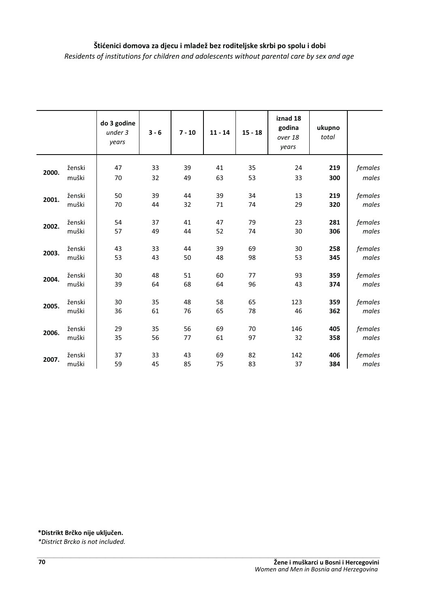# Štićenici domova za djecu i mladež bez roditeljske skrbi po spolu i dobi *Residents of institutions for children and adolescents without parental care by sex and age*

|       |        | do 3 godine<br>under 3<br>years | $3 - 6$ | $7 - 10$ | $11 - 14$ | $15 - 18$ | iznad 18<br>godina<br>over 18<br>years | ukupno<br>total |         |
|-------|--------|---------------------------------|---------|----------|-----------|-----------|----------------------------------------|-----------------|---------|
| 2000. | ženski | 47                              | 33      | 39       | 41        | 35        | 24                                     | 219             | females |
|       | muški  | 70                              | 32      | 49       | 63        | 53        | 33                                     | 300             | males   |
| 2001. | ženski | 50                              | 39      | 44       | 39        | 34        | 13                                     | 219             | females |
|       | muški  | 70                              | 44      | 32       | 71        | 74        | 29                                     | 320             | males   |
| 2002. | ženski | 54                              | 37      | 41       | 47        | 79        | 23                                     | 281             | females |
|       | muški  | 57                              | 49      | 44       | 52        | 74        | 30                                     | 306             | males   |
| 2003. | ženski | 43                              | 33      | 44       | 39        | 69        | 30                                     | 258             | females |
|       | muški  | 53                              | 43      | 50       | 48        | 98        | 53                                     | 345             | males   |
| 2004. | ženski | 30                              | 48      | 51       | 60        | 77        | 93                                     | 359             | females |
|       | muški  | 39                              | 64      | 68       | 64        | 96        | 43                                     | 374             | males   |
| 2005. | ženski | 30                              | 35      | 48       | 58        | 65        | 123                                    | 359             | females |
|       | muški  | 36                              | 61      | 76       | 65        | 78        | 46                                     | 362             | males   |
| 2006. | ženski | 29                              | 35      | 56       | 69        | 70        | 146                                    | 405             | females |
|       | muški  | 35                              | 56      | 77       | 61        | 97        | 32                                     | 358             | males   |
| 2007. | ženski | 37                              | 33      | 43       | 69        | 82        | 142                                    | 406             | females |
|       | muški  | 59                              | 45      | 85       | 75        | 83        | 37                                     | 384             | males   |

#### $*$ Distrikt Brčko nije uključen.

*\*District Brcko is not included.* -----------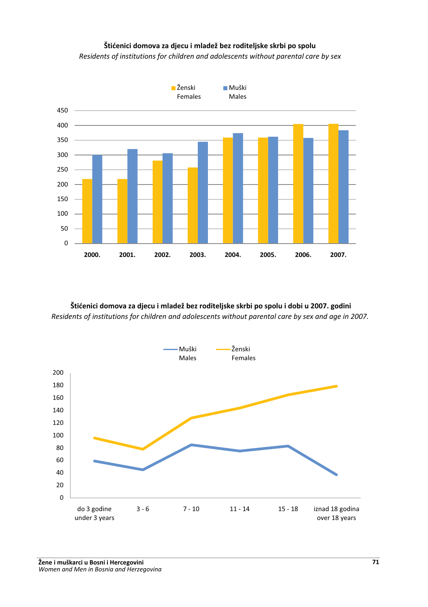# Štićenici domova za djecu i mladež bez roditeljske skrbi po spolu

*Residents of institutions for children and adolescents without parental care by sex*



Štićenici domova za djecu i mladež bez roditeljske skrbi po spolu i dobi u 2007. godini *Residents of institutions for children and adolescents without parental care by sex and age in 2007.*

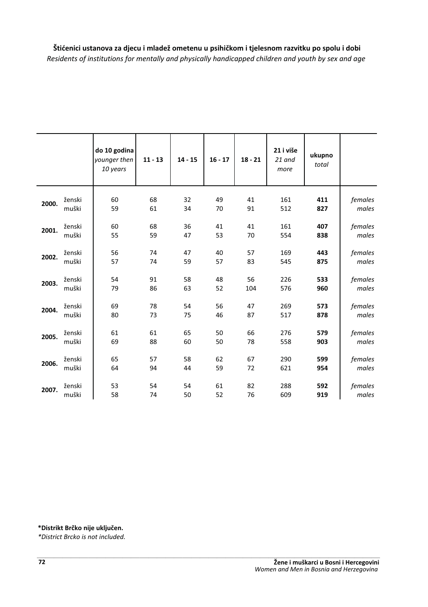Štićenici ustanova za djecu i mladež ometenu u psihičkom i tjelesnom razvitku po spolu i dobi *Residents of institutions for mentally and physically handicapped children and youth by sex and age*

|       |        | do 10 godina<br>younger then<br>10 years | $11 - 13$ | $14 - 15$ | $16 - 17$ | $18 - 21$ | 21 i više<br>21 and<br>more | ukupno<br>total |         |
|-------|--------|------------------------------------------|-----------|-----------|-----------|-----------|-----------------------------|-----------------|---------|
| 2000. | ženski | 60                                       | 68        | 32        | 49        | 41        | 161                         | 411             | females |
|       | muški  | 59                                       | 61        | 34        | 70        | 91        | 512                         | 827             | males   |
| 2001. | ženski | 60                                       | 68        | 36        | 41        | 41        | 161                         | 407             | females |
|       | muški  | 55                                       | 59        | 47        | 53        | 70        | 554                         | 838             | males   |
|       |        |                                          |           |           |           |           |                             |                 |         |
| 2002. | ženski | 56                                       | 74        | 47        | 40        | 57        | 169                         | 443             | females |
|       | muški  | 57                                       | 74        | 59        | 57        | 83        | 545                         | 875             | males   |
| 2003. | ženski | 54                                       | 91        | 58        | 48        | 56        | 226                         | 533             | females |
|       | muški  | 79                                       | 86        | 63        | 52        | 104       | 576                         | 960             | males   |
|       | ženski | 69                                       | 78        | 54        | 56        | 47        | 269                         | 573             | females |
| 2004. | muški  | 80                                       | 73        | 75        | 46        | 87        | 517                         | 878             | males   |
|       |        |                                          |           |           |           |           |                             |                 |         |
| 2005. | ženski | 61                                       | 61        | 65        | 50        | 66        | 276                         | 579             | females |
|       | muški  | 69                                       | 88        | 60        | 50        | 78        | 558                         | 903             | males   |
| 2006. | ženski | 65                                       | 57        | 58        | 62        | 67        | 290                         | 599             | females |
|       | muški  | 64                                       | 94        | 44        | 59        | 72        | 621                         | 954             | males   |
|       |        |                                          |           |           |           |           |                             |                 |         |
| 2007. | ženski | 53                                       | 54        | 54        | 61        | 82        | 288                         | 592             | females |
|       | muški  | 58                                       | 74        | 50        | 52        | 76        | 609                         | 919             | males   |

 $*$ Distrikt Brčko nije uključen.

*\*District Brcko is not included.*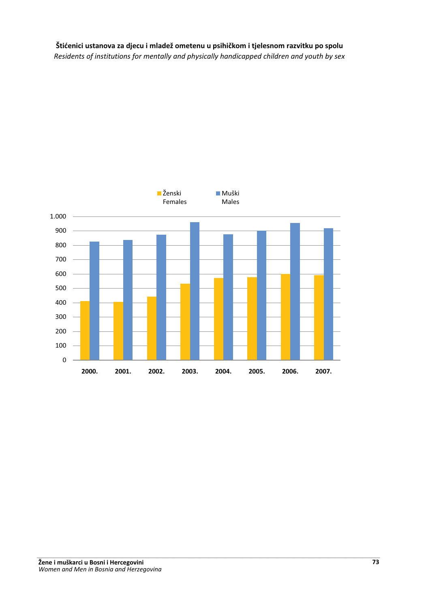# Štićenici ustanova za djecu i mladež ometenu u psihičkom i tjelesnom razvitku po spolu Residents of institutions for mentally and physically handicapped children and youth by sex

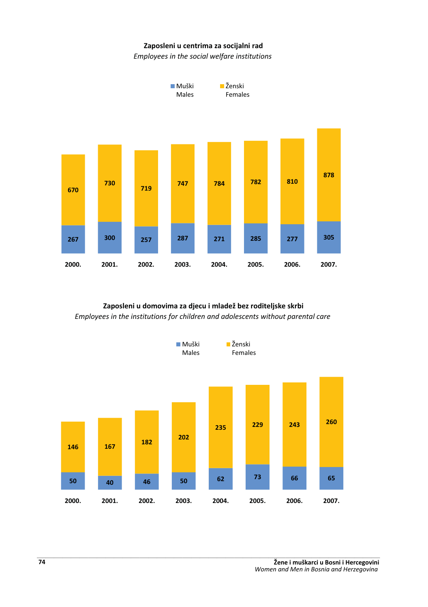#### Zaposleni u centrima za socijalni rad

*Employees in the social welfare institutions*



### Zaposleni u domovima za djecu i mladež bez roditeljske skrbi *Employees in the institutions for children and adolescents without parental care*

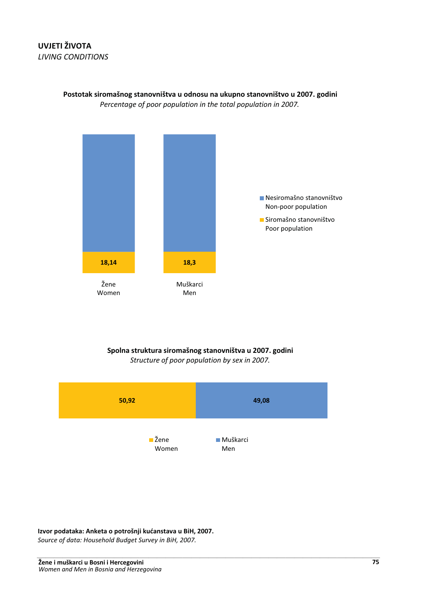# **UVJETI ŽIVOTA LIVING CONDITIONS**



Postotak siromašnog stanovništva u odnosu na ukupno stanovništvo u 2007. godini Percentage of poor population in the total population in 2007.

### Spolna struktura siromašnog stanovništva u 2007. godini Structure of poor population by sex in 2007.



Izvor podataka: Anketa o potrošnji kućanstava u BiH, 2007.

Source of data: Household Budget Survey in BiH, 2007.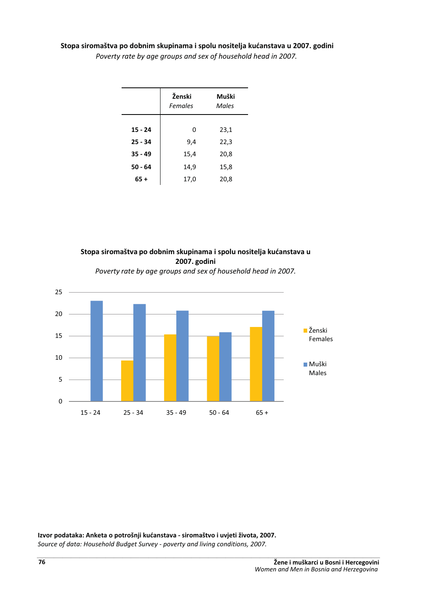#### Stopa siromaštva po dobnim skupinama i spolu nositelja kućanstava u 2007. godini

|           | Ženski<br>Females | Muški<br>Males |
|-----------|-------------------|----------------|
|           |                   |                |
| $15 - 24$ | 0                 | 23,1           |
| $25 - 34$ | 9,4               | 22,3           |
| $35 - 49$ | 15,4              | 20,8           |
| $50 - 64$ | 14,9              | 15,8           |
| $65+$     | 17,0              | 20,8           |

*Poverty rate by age groups and sex of household head in 2007.*





*Poverty rate by age groups and sex of household head in 2007.*

#### Izvor podataka: Anketa o potrošnji kućanstava - siromaštvo i uvjeti života, 2007.

Source of data: Household Budget Survey - poverty and living conditions, 2007.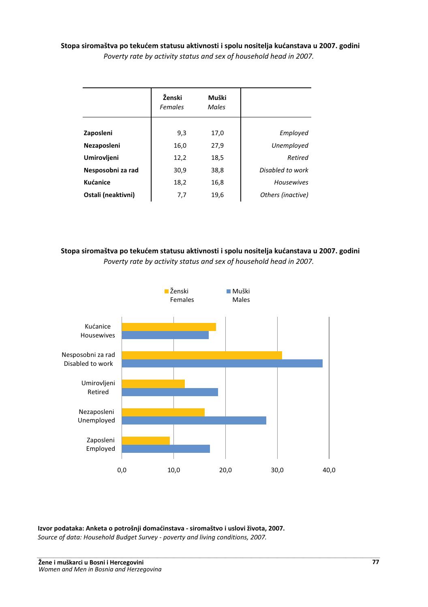Stopa siromaštva po tekućem statusu aktivnosti i spolu nositelja kućanstava u 2007. godini *Poverty rate by activity status and sex of household head in 2007.* 

|                    | Ženski<br><b>Females</b> | Muški<br>Males |                   |
|--------------------|--------------------------|----------------|-------------------|
|                    |                          |                |                   |
| Zaposleni          | 9,3                      | 17,0           | Employed          |
| Nezaposleni        | 16,0                     | 27,9           | Unemployed        |
| Umirovljeni        | 12,2                     | 18,5           | Retired           |
| Nesposobni za rad  | 30,9                     | 38,8           | Disabled to work  |
| <b>Kućanice</b>    | 18,2                     | 16,8           | <b>Housewives</b> |
| Ostali (neaktivni) | 7,7                      | 19.6           | Others (inactive) |

## Stopa siromaštva po tekućem statusu aktivnosti i spolu nositelja kućanstava u 2007. godini *Poverty rate by activity status and sex of household head in 2007.*



Izvor podataka: Anketa o potrošnji domaćinstava - siromaštvo i uslovi života, 2007. *Source of data: Household Budget Survey - poverty and living conditions, 2007.* ---------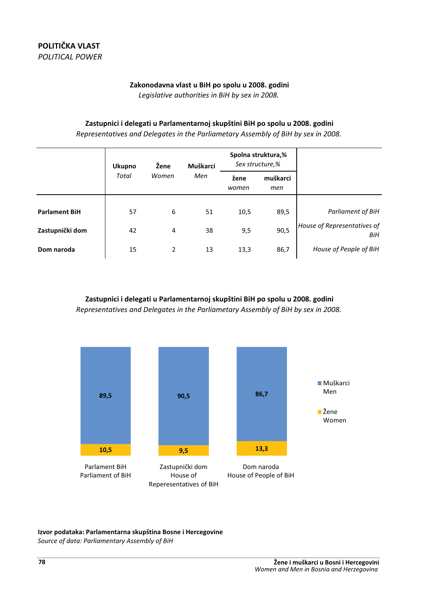### Zakonodavna vlast u BiH po spolu u 2008. godini

Leaislative authorities in BiH by sex in 2008.

### Zastupnici i delegati u Parlamentarnoj skupštini BiH po spolu u 2008. godini

Representatives and Delegates in the Parliametary Assembly of BiH by sex in 2008.

|                      | <b>Ukupno</b> | Žene<br>Muškarci |     | Spolna struktura,%<br>Sex structure,% |                 |                                    |
|----------------------|---------------|------------------|-----|---------------------------------------|-----------------|------------------------------------|
|                      | Total         | Women            | Men | žene<br>women                         | muškarci<br>men |                                    |
| <b>Parlament BiH</b> | 57            | 6                | 51  | 10,5                                  | 89,5            | Parliament of BiH                  |
| Zastupnički dom      | 42            | 4                | 38  | 9,5                                   | 90,5            | House of Representatives of<br>BiH |
| Dom naroda           | 15            | 2                | 13  | 13,3                                  | 86,7            | House of People of BiH             |

Zastupnici i delegati u Parlamentarnoj skupštini BiH po spolu u 2008. godini Representatives and Delegates in the Parliametary Assembly of BiH by sex in 2008.



#### Izvor podataka: Parlamentarna skupština Bosne i Hercegovine

Source of data: Parliamentary Assembly of BiH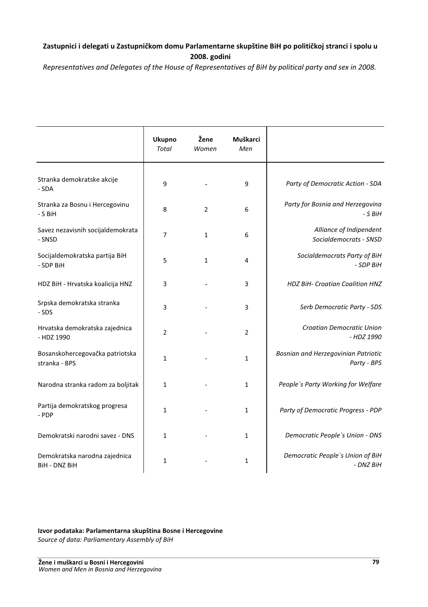# Zastupnici i delegati u Zastupničkom domu Parlamentarne skupštine BiH po političkoj stranci i spolu u 2008. godini

*Representatives and Delegates of the House of Representatives of BiH by political party and sex in 2008.*

|                                                  | <b>Ukupno</b><br><b>Total</b> | Žene<br>Women | Muškarci<br>Men |                                                    |
|--------------------------------------------------|-------------------------------|---------------|-----------------|----------------------------------------------------|
| Stranka demokratske akcije<br>- SDA              | 9                             |               | 9               | Party of Democratic Action - SDA                   |
| Stranka za Bosnu i Hercegovinu<br>- S BiH        | 8                             | 2             | 6               | Party for Bosnia and Herzegovina<br>- S BiH        |
| Savez nezavisnih socijaldemokrata<br>- SNSD      | 7                             | $\mathbf{1}$  | 6               | Alliance of Indipendent<br>Socialdemocrats - SNSD  |
| Socijaldemokratska partija BiH<br>- SDP BiH      | 5                             | $\mathbf{1}$  | 4               | Socialdemocrats Party of BiH<br>- SDP BiH          |
| HDZ BiH - Hrvatska koalicija HNZ                 | 3                             |               | 3               | <b>HDZ BiH- Croatian Coalition HNZ</b>             |
| Srpska demokratska stranka<br>- SDS              | 3                             |               | 3               | Serb Democratic Party - SDS                        |
| Hrvatska demokratska zajednica<br>- HDZ 1990     | $\overline{2}$                |               | $\overline{2}$  | Croatian Democratic Union<br>- HDZ 1990            |
| Bosanskohercegovačka patriotska<br>stranka - BPS | $\mathbf{1}$                  |               | $\mathbf{1}$    | Bosnian and Herzegovinian Patriotic<br>Party - BPS |
| Narodna stranka radom za boljitak                | $\mathbf{1}$                  |               | $\mathbf{1}$    | People's Party Working for Welfare                 |
| Partija demokratskog progresa<br>- PDP           | $\mathbf{1}$                  |               | $\mathbf{1}$    | Party of Democratic Progress - PDP                 |
| Demokratski narodni savez - DNS                  | $\mathbf{1}$                  |               | $\mathbf{1}$    | Democratic People's Union - DNS                    |
| Demokratska narodna zajednica<br>BiH - DNZ BiH   | 1                             |               | $\mathbf{1}$    | Democratic People's Union of BiH<br>- DNZ BiH      |

#### Izvor podataka: Parlamentarna skupština Bosne i Hercegovine

Source of data: Parliamentary Assembly of BiH<br>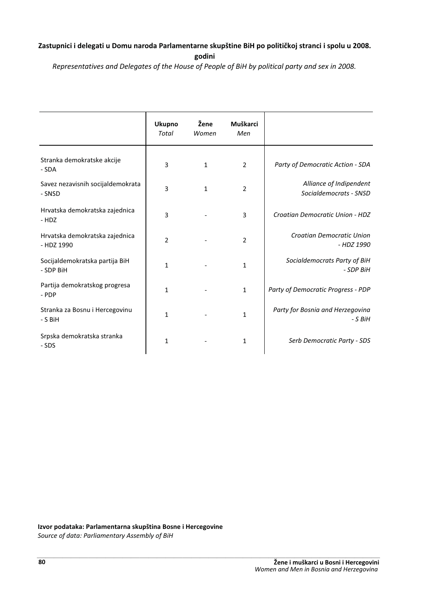## Zastupnici i delegati u Domu naroda Parlamentarne skupštine BiH po političkoj stranci i spolu u 2008.

*Representatives and Delegates of the House of People of BiH by political party and sex in 2008.*

|                                              | <b>Ukupno</b><br><b>Total</b> | Žene<br>Women | Muškarci<br>Men |                                                   |
|----------------------------------------------|-------------------------------|---------------|-----------------|---------------------------------------------------|
| Stranka demokratske akcije<br>- SDA          | 3                             | $\mathbf{1}$  | $\overline{2}$  | Party of Democratic Action - SDA                  |
| Savez nezavisnih socijaldemokrata<br>- SNSD  | 3                             | $\mathbf{1}$  | $\overline{2}$  | Alliance of Indipendent<br>Socialdemocrats - SNSD |
| Hrvatska demokratska zajednica<br>- HDZ      | 3                             |               | 3               | Croatian Democratic Union - HDZ                   |
| Hrvatska demokratska zajednica<br>- HDZ 1990 | $\overline{2}$                |               | $\overline{2}$  | Croatian Democratic Union<br>- HDZ 1990           |
| Socijaldemokratska partija BiH<br>- SDP BiH  | $\mathbf{1}$                  |               | $\mathbf{1}$    | Socialdemocrats Party of BiH<br>- SDP BiH         |
| Partija demokratskog progresa<br>- PDP       | $\mathbf{1}$                  |               | 1               | Party of Democratic Progress - PDP                |
| Stranka za Bosnu i Hercegovinu<br>- S BiH    | $\mathbf{1}$                  |               | 1               | Party for Bosnia and Herzegovina<br>- S BiH       |
| Srpska demokratska stranka<br>- SDS          | $\mathbf{1}$                  |               | 1               | Serb Democratic Party - SDS                       |

Izvor podataka: Parlamentarna skupština Bosne i Hercegovine

*Source of data: Parliamentary Assembly of BiH*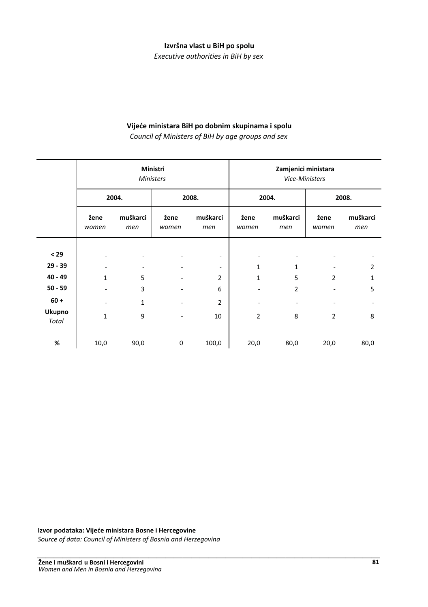#### Izvršna vlast u BiH po spolu

*Executive authorities in BiH by sex*

### Vijeće ministara BiH po dobnim skupinama i spolu

*Council of Ministers of BiH by age groups and sex*

|                        | Ministri<br><b>Ministers</b>                 |                               |                                                              |                                            |                | <b>Vice-Ministers</b> | Zamjenici ministara                            |                   |
|------------------------|----------------------------------------------|-------------------------------|--------------------------------------------------------------|--------------------------------------------|----------------|-----------------------|------------------------------------------------|-------------------|
|                        |                                              | 2004.                         | 2008.                                                        |                                            | 2004.          |                       | 2008.                                          |                   |
|                        | žene<br>women                                | muškarci<br>men               | žene<br>women                                                | muškarci<br>men                            | žene<br>women  | muškarci<br>men       | žene<br>women                                  | muškarci<br>men   |
| < 29<br>$29 - 39$      |                                              |                               |                                                              |                                            |                |                       |                                                |                   |
| $40 - 49$              | $\qquad \qquad \blacksquare$<br>$\mathbf{1}$ | $\overline{\phantom{a}}$<br>5 | $\qquad \qquad \blacksquare$<br>$\qquad \qquad \blacksquare$ | $\overline{\phantom{0}}$<br>$\overline{2}$ | 1<br>1         | 1<br>5                | $\qquad \qquad \blacksquare$<br>$\overline{2}$ | 2<br>$\mathbf{1}$ |
| $50 - 59$<br>$60 +$    |                                              | 3<br>1                        |                                                              | 6<br>2                                     |                | $\overline{2}$        | $\overline{\phantom{0}}$                       | 5                 |
| <b>Ukupno</b><br>Total | $\mathbf{1}$                                 | 9                             |                                                              | 10                                         | $\overline{2}$ | 8                     | $\overline{2}$                                 | 8                 |
| %                      | 10,0                                         | 90,0                          | $\pmb{0}$                                                    | 100,0                                      | 20,0           | 80,0                  | 20,0                                           | 80,0              |

#### Izvor podataka: Vijeće ministara Bosne i Hercegovine

Source of data: Council of Ministers of Bosnia and Herzegovina<br>
--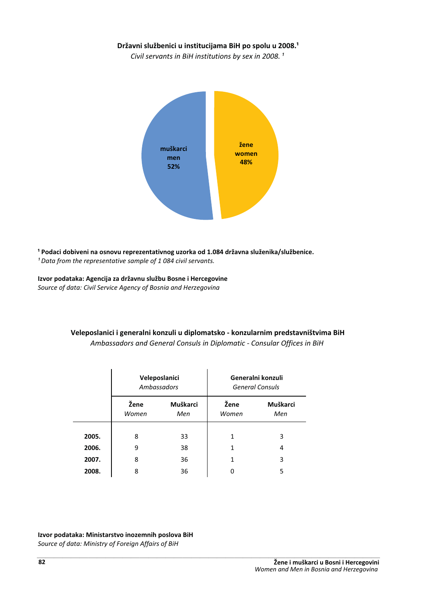### Državni službenici u institucijama BiH po spolu u 2008.<sup>1</sup>

*Civil servants in BiH institutions by sex in 2008.*<sup>1</sup>



<sup>1</sup> Podaci dobiveni na osnovu reprezentativnog uzorka od 1.084 državna služenika/službenice. <sup>1</sup> Data from the representative sample of 1 084 civil servants.

Izvor podataka: Agencija za državnu službu Bosne i Hercegovine *Source of data: Civil Service Agency of Bosnia and Herzegovina*

|       |               | Veleposlanici<br>Ambassadors |               | Generalni konzuli<br><b>General Consuls</b> |
|-------|---------------|------------------------------|---------------|---------------------------------------------|
|       | Žene<br>Women | Muškarci<br>Men              | Žene<br>Women | Muškarci<br>Men                             |
| 2005. | 8             | 33                           | 1             | 3                                           |
| 2006. | 9             | 38                           | 1             | 4                                           |
| 2007. | 8             | 36                           | 1             | 3                                           |
| 2008. | 8             | 36                           |               | 5                                           |

### Veleposlanici i generalni konzuli u diplomatsko - konzularnim predstavništvima BiH *Ambassadors and General Consuls in Diplomatic - Consular Offices in BiH*

Izvor podataka: Ministarstvo inozemnih poslova BiH Source of data: Ministry of Foreign Affairs of BiH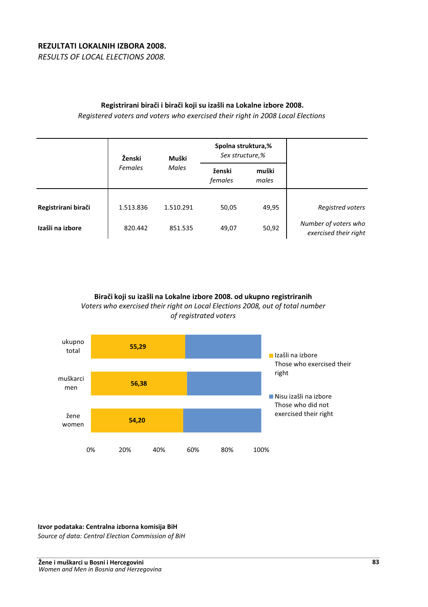# REZULTATI LOKALNIH IZBORA 2008.

*RESULTS OF LOCAL ELECTIONS 2008.*

## Registrirani birači i birači koji su izašli na Lokalne izbore 2008.

*Registered voters and voters who exercised their right in 2008 Local Elections*

|                     | Ženski    | Muški     | Spolna struktura,%<br>Sex structure,% |                |                                               |
|---------------------|-----------|-----------|---------------------------------------|----------------|-----------------------------------------------|
|                     | Females   | Males     | ženski<br>females                     | muški<br>males |                                               |
| Registrirani birači | 1.513.836 | 1.510.291 | 50,05                                 | 49,95          | Registred voters                              |
| Izašli na izbore    | 820.442   | 851.535   | 49,07                                 | 50,92          | Number of voters who<br>exercised their right |

Birači koji su izašli na Lokalne izbore 2008. od ukupno registriranih *Voters who exercised their right on Local Elections 2008, out of total number of registrated voters*



Izvor podataka: Centralna izborna komisija BiH

*Source of data: Central Election Commission of BiH*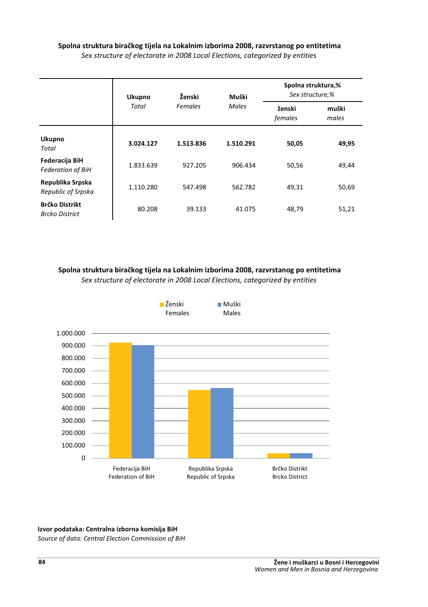### Spolna struktura biračkog tijela na Lokalnim izborima 2008, razvrstanog po entitetima *Sex structure of electorate in 2008 Local Elections, categorized by entities*

|                                                | Ukupno    | Ženski    | Muški     | Spolna struktura,%<br>Sex structure,% |                |  |
|------------------------------------------------|-----------|-----------|-----------|---------------------------------------|----------------|--|
|                                                | Total     | Females   | Males     | ženski<br>females                     | muški<br>males |  |
| Ukupno<br>Total                                | 3.024.127 | 1.513.836 | 1.510.291 | 50,05                                 | 49,95          |  |
| Federacija BiH<br><b>Federation of BiH</b>     | 1.833.639 | 927.205   | 906.434   | 50,56                                 | 49,44          |  |
| Republika Srpska<br>Republic of Srpska         | 1.110.280 | 547.498   | 562.782   | 49,31                                 | 50,69          |  |
| <b>Brčko Distrikt</b><br><b>Brcko District</b> | 80.208    | 39.133    | 41.075    | 48,79                                 | 51,21          |  |

# Spolna struktura biračkog tijela na Lokalnim izborima 2008, razvrstanog po entitetima

*Sex structure of electorate in 2008 Local Elections, categorized by entities*



#### Izvor podataka: Centralna izborna komisija BiH

Source of data: Central Election Commission of BiH<br>--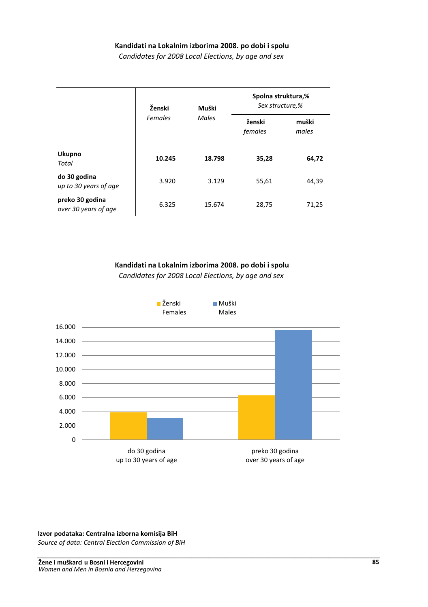#### Kandidati na Lokalnim izborima 2008. po dobi i spolu

*Candidates for 2008 Local Elections, by age and sex*

|                                         | Ženski           | Muški  | Spolna struktura,%<br>Sex structure,% |                |  |
|-----------------------------------------|------------------|--------|---------------------------------------|----------------|--|
|                                         | Females<br>Males |        | ženski<br>females                     | muški<br>males |  |
| Ukupno<br>Total                         | 10.245           | 18.798 | 35,28                                 | 64,72          |  |
| do 30 godina<br>up to 30 years of age   | 3.920            | 3.129  | 55,61                                 | 44,39          |  |
| preko 30 godina<br>over 30 years of age | 6.325            | 15.674 | 28,75                                 | 71,25          |  |

#### Kandidati na Lokalnim izborima 2008. po dobi i spolu

*Candidates for 2008 Local Elections, by age and sex*



#### Izvor podataka: Centralna izborna komisija BiH

Source of data: Central Election Commission of BiH<br>-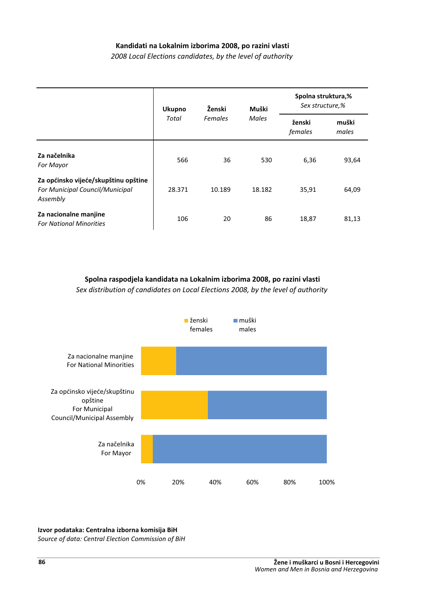### Kandidati na Lokalnim izborima 2008, po razini vlasti

*2008 Local Elections candidates, by the level of authority*

|                                                                                            | <b>Ukupno</b> | Ženski         | Muški        | Spolna struktura,%<br>Sex structure,% |                |
|--------------------------------------------------------------------------------------------|---------------|----------------|--------------|---------------------------------------|----------------|
|                                                                                            | Total         | <b>Females</b> | <b>Males</b> | ženski<br>females                     | muški<br>males |
| Za načelnika<br><b>For Mayor</b>                                                           | 566           | 36             | 530          | 6,36                                  | 93,64          |
| Za općinsko vijeće/skupštinu opštine<br><b>For Municipal Council/Municipal</b><br>Assembly | 28.371        | 10.189         | 18.182       | 35,91                                 | 64,09          |
| Za nacionalne manjine<br><b>For National Minorities</b>                                    | 106           | 20             | 86           | 18,87                                 | 81,13          |

### Spolna raspodjela kandidata na Lokalnim izborima 2008, po razini vlasti

*Sex distribution of candidates on Local Elections 2008, by the level of authority*



#### Izvor podataka: Centralna izborna komisija BiH

Source of data: Central Election Commission of BiH<br>--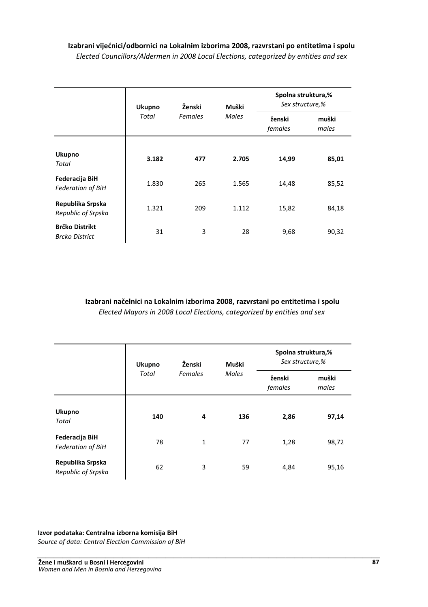## Izabrani vijećnici/odbornici na Lokalnim izborima 2008, razvrstani po entitetima i spolu *Elected Councillors/Aldermen in 2008 Local Elections, categorized by entities and sex*

|                                                | <b>Ukupno</b> | Ženski  | Muški | Spolna struktura,%<br>Sex structure,% |                |
|------------------------------------------------|---------------|---------|-------|---------------------------------------|----------------|
|                                                | Total         | Females | Males | ženski<br>females                     | muški<br>males |
| Ukupno<br>Total                                | 3.182         | 477     | 2.705 | 14,99                                 | 85,01          |
| Federacija BiH<br><b>Federation of BiH</b>     | 1.830         | 265     | 1.565 | 14,48                                 | 85,52          |
| Republika Srpska<br>Republic of Srpska         | 1.321         | 209     | 1.112 | 15,82                                 | 84,18          |
| <b>Brčko Distrikt</b><br><b>Brcko District</b> | 31            | 3       | 28    | 9,68                                  | 90,32          |

Izabrani načelnici na Lokalnim izborima 2008, razvrstani po entitetima i spolu *Elected Mayors in 2008 Local Elections, categorized by entities and sex*

|                                            | <b>Ukupno</b> | Ženski       | Muški | Spolna struktura,%<br>Sex structure,% |                |
|--------------------------------------------|---------------|--------------|-------|---------------------------------------|----------------|
|                                            | Total         |              | Males | ženski<br>females                     | muški<br>males |
| <b>Ukupno</b><br>Total                     | 140           | 4            | 136   | 2,86                                  | 97,14          |
| Federacija BiH<br><b>Federation of BiH</b> | 78            | $\mathbf{1}$ | 77    | 1,28                                  | 98,72          |
| Republika Srpska<br>Republic of Srpska     | 62            | 3            | 59    | 4,84                                  | 95,16          |

#### Izvor podataka: Centralna izborna komisija BiH

Source of data: Central Election Commission of BiH<br>-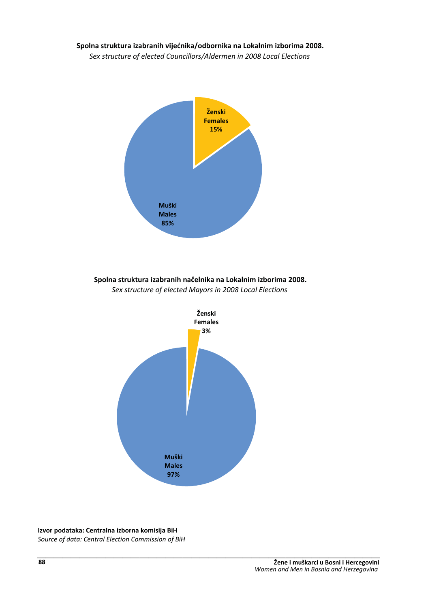### Spolna struktura izabranih vijećnika/odbornika na Lokalnim izborima 2008.

*Sex structure of elected Councillors/Aldermen in 2008 Local Elections*



# Spolna struktura izabranih načelnika na Lokalnim izborima 2008.





#### Izvor podataka: Centralna izborna komisija BiH

Source of data: Central Election Commission of BiH<br>--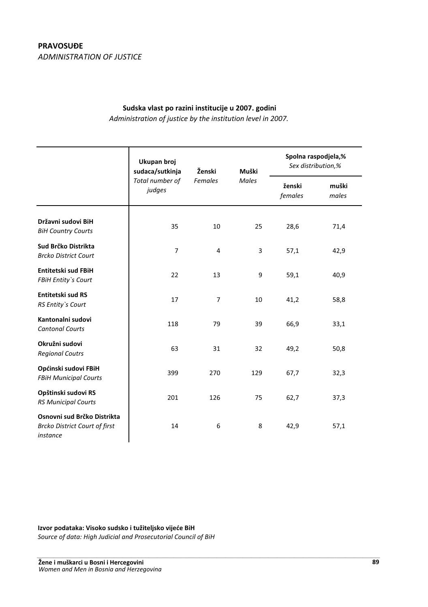# **PRAVOSUĐE** *ADMINISTRATION OF JUSTICE*

### Sudska vlast po razini institucije u 2007. godini

*Administration of justice by the institution level in 2007.*

|                                                                                 | Ukupan broj<br>sudaca/sutkinja | Ženski<br><b>Females</b> | Muški<br>Males | Spolna raspodjela,%<br>Sex distribution,% |                |
|---------------------------------------------------------------------------------|--------------------------------|--------------------------|----------------|-------------------------------------------|----------------|
|                                                                                 | Total number of<br>judges      |                          |                | ženski<br>females                         | muški<br>males |
| Državni sudovi BiH<br><b>BiH Country Courts</b>                                 | 35                             | 10                       | 25             | 28,6                                      | 71,4           |
| Sud Brčko Distrikta<br><b>Brcko District Court</b>                              | $\overline{7}$                 | 4                        | 3              | 57,1                                      | 42,9           |
| <b>Entitetski sud FBiH</b><br><b>FBiH Entity's Court</b>                        | 22                             | 13                       | 9              | 59,1                                      | 40,9           |
| <b>Entitetski sud RS</b><br>RS Entity's Court                                   | 17                             | $\overline{7}$           | 10             | 41,2                                      | 58,8           |
| Kantonalni sudovi<br><b>Cantonal Courts</b>                                     | 118                            | 79                       | 39             | 66,9                                      | 33,1           |
| Okružni sudovi<br><b>Regional Coutrs</b>                                        | 63                             | 31                       | 32             | 49,2                                      | 50,8           |
| Općinski sudovi FBiH<br><b>FBiH Municipal Courts</b>                            | 399                            | 270                      | 129            | 67,7                                      | 32,3           |
| Opštinski sudovi RS<br><b>RS Municipal Courts</b>                               | 201                            | 126                      | 75             | 62,7                                      | 37,3           |
| Osnovni sud Brčko Distrikta<br><b>Brcko District Court of first</b><br>instance | 14                             | 6                        | 8              | 42,9                                      | 57,1           |

Izvor podataka: Visoko sudsko i tužiteljsko vijeće BiH

*Source of data: High Judicial and Prosecutorial Council of BiH* ---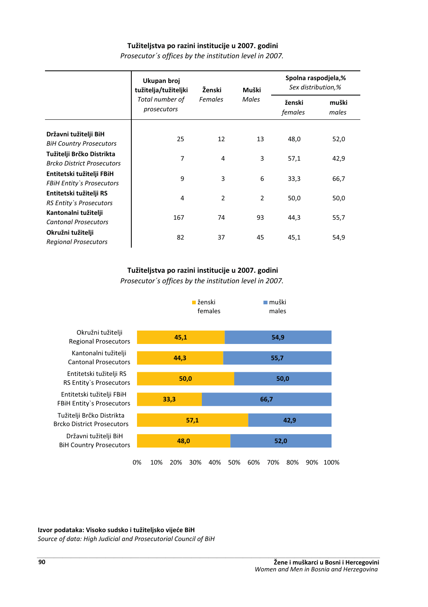### Tužiteljstva po razini institucije u 2007. godini

|                                                                | Ukupan broj<br>tužitelja/tužiteljki | Ženski<br>Females | Muški<br>Males | Spolna raspodjela,%<br>Sex distribution,% |                |
|----------------------------------------------------------------|-------------------------------------|-------------------|----------------|-------------------------------------------|----------------|
|                                                                | Total number of<br>prosecutors      |                   |                | ženski<br>females                         | muški<br>males |
| Državni tužitelji BiH<br><b>BiH Country Prosecutors</b>        | 25                                  | 12                | 13             | 48,0                                      | 52,0           |
| Tužitelji Brčko Distrikta<br><b>Brcko District Prosecutors</b> | $\overline{7}$                      | 4                 | 3              | 57,1                                      | 42,9           |
| Entitetski tužitelji FBiH<br><b>FBiH Entity's Prosecutors</b>  | 9                                   | 3                 | 6              | 33,3                                      | 66,7           |
| Entitetski tužitelji RS<br>RS Entity's Prosecutors             | 4                                   | $\overline{2}$    | $\overline{2}$ | 50,0                                      | 50,0           |
| Kantonalni tužitelji<br><b>Cantonal Prosecutors</b>            | 167                                 | 74                | 93             | 44,3                                      | 55,7           |
| Okružni tužitelji<br><b>Regional Prosecutors</b>               | 82                                  | 37                | 45             | 45,1                                      | 54,9           |

*Prosecutor´s offices by the institution level in 2007.*

### Tužiteljstva po razini institucije u 2007. godini

*Prosecutor´s offices by the institution level in 2007.*



#### Izvor podataka: Visoko sudsko i tužiteljsko vijeće BiH

Source of data: High Judicial and Prosecutorial Council of BiH<br>-